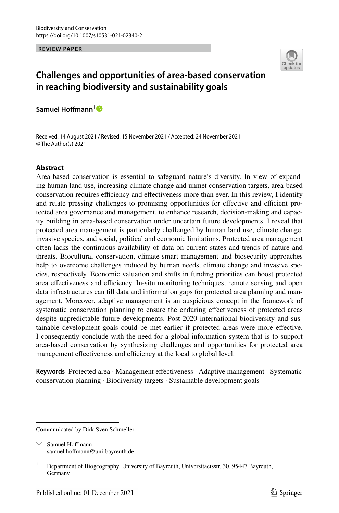**REVIEW PAPER**



# **Challenges and opportunities of area‑based conservation in reaching biodiversity and sustainability goals**

**Samuel Hofmann[1](http://orcid.org/0000-0002-6176-8406)**

Received: 14 August 2021 / Revised: 15 November 2021 / Accepted: 24 November 2021 © The Author(s) 2021

# **Abstract**

Area-based conservation is essential to safeguard nature's diversity. In view of expanding human land use, increasing climate change and unmet conservation targets, area-based conservation requires efficiency and effectiveness more than ever. In this review, I identify and relate pressing challenges to promising opportunities for effective and efficient protected area governance and management, to enhance research, decision-making and capacity building in area-based conservation under uncertain future developments. I reveal that protected area management is particularly challenged by human land use, climate change, invasive species, and social, political and economic limitations. Protected area management often lacks the continuous availability of data on current states and trends of nature and threats. Biocultural conservation, climate-smart management and biosecurity approaches help to overcome challenges induced by human needs, climate change and invasive species, respectively. Economic valuation and shifts in funding priorities can boost protected area effectiveness and efficiency. In-situ monitoring techniques, remote sensing and open data infrastructures can fll data and information gaps for protected area planning and management. Moreover, adaptive management is an auspicious concept in the framework of systematic conservation planning to ensure the enduring efectiveness of protected areas despite unpredictable future developments. Post-2020 international biodiversity and sustainable development goals could be met earlier if protected areas were more efective. I consequently conclude with the need for a global information system that is to support area-based conservation by synthesizing challenges and opportunities for protected area management effectiveness and efficiency at the local to global level.

**Keywords** Protected area · Management efectiveness · Adaptive management · Systematic conservation planning · Biodiversity targets · Sustainable development goals

Communicated by Dirk Sven Schmeller.

 $\boxtimes$  Samuel Hoffmann samuel.hofmann@uni-bayreuth.de

<sup>&</sup>lt;sup>1</sup> Department of Biogeography, University of Bayreuth, Universitaetsstr. 30, 95447 Bayreuth, Germany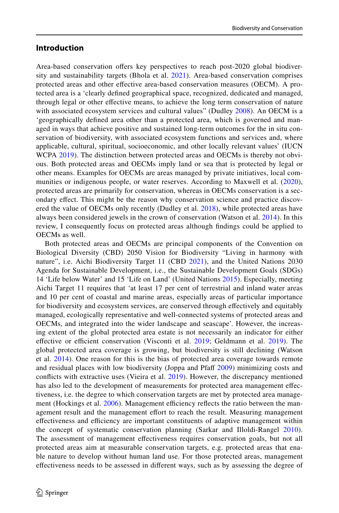# **Introduction**

Area-based conservation offers key perspectives to reach post-2020 global biodiver-sity and sustainability targets (Bhola et al. [2021\)](#page-19-0). Area-based conservation comprises protected areas and other efective area-based conservation measures (OECM). A protected area is a 'clearly defned geographical space, recognized, dedicated and managed, through legal or other efective means, to achieve the long term conservation of nature with associated ecosystem services and cultural values" (Dudley [2008\)](#page-21-0). An OECM is a 'geographically defned area other than a protected area, which is governed and managed in ways that achieve positive and sustained long-term outcomes for the in situ conservation of biodiversity, with associated ecosystem functions and services and, where applicable, cultural, spiritual, socioeconomic, and other locally relevant values' (IUCN WCPA [2019](#page-26-0)). The distinction between protected areas and OECMs is thereby not obvious. Both protected areas and OECMs imply land or sea that is protected by legal or other means. Examples for OECMs are areas managed by private initiatives, local com-munities or indigenous people, or water reserves. According to Maxwell et al. [\(2020\)](#page-24-0), protected areas are primarily for conservation, whereas in OECMs conservation is a secondary efect. This might be the reason why conservation science and practice discov-ered the value of OECMs only recently (Dudley et al. [2018](#page-21-1)), while protected areas have always been considered jewels in the crown of conservation (Watson et al. [2014](#page-26-1)). In this review, I consequently focus on protected areas although fndings could be applied to OECMs as well.

Both protected areas and OECMs are principal components of the Convention on Biological Diversity (CBD) 2050 Vision for Biodiversity "Living in harmony with nature", i.e. Aichi Biodiversity Target 11 (CBD [2021\)](#page-20-0), and the United Nations 2030 Agenda for Sustainable Development, i.e., the Sustainable Development Goals (SDGs) 14 'Life below Water' and 15 'Life on Land' (United Nations [2015](#page-26-2)). Especially, meeting Aichi Target 11 requires that 'at least 17 per cent of terrestrial and inland water areas and 10 per cent of coastal and marine areas, especially areas of particular importance for biodiversity and ecosystem services, are conserved through efectively and equitably managed, ecologically representative and well-connected systems of protected areas and OECMs, and integrated into the wider landscape and seascape'. However, the increasing extent of the global protected area estate is not necessarily an indicator for either effective or efficient conservation (Visconti et al. [2019;](#page-26-3) Geldmann et al. [2019\)](#page-22-0). The global protected area coverage is growing, but biodiversity is still declining (Watson et al. [2014](#page-26-1)). One reason for this is the bias of protected area coverage towards remote and residual places with low biodiversity (Joppa and Pfaf [2009](#page-23-0)) minimizing costs and conficts with extractive uses (Vieira et al. [2019\)](#page-26-4). However, the discrepancy mentioned has also led to the development of measurements for protected area management efectiveness, i.e. the degree to which conservation targets are met by protected area manage-ment (Hockings et al. [2006\)](#page-22-1). Management efficiency reflects the ratio between the management result and the management efort to reach the result. Measuring management effectiveness and efficiency are important constituents of adaptive management within the concept of systematic conservation planning (Sarkar and Illoldi-Rangel [2010\)](#page-25-0). The assessment of management efectiveness requires conservation goals, but not all protected areas aim at measurable conservation targets, e.g. protected areas that enable nature to develop without human land use. For those protected areas, management efectiveness needs to be assessed in diferent ways, such as by assessing the degree of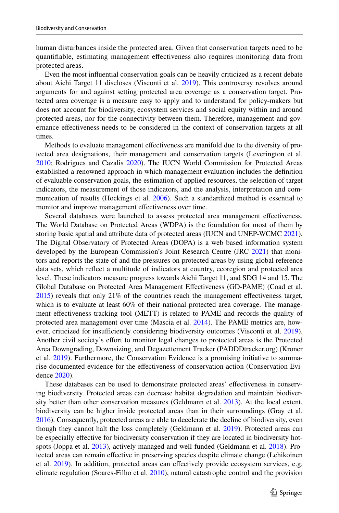human disturbances inside the protected area. Given that conservation targets need to be quantifable, estimating management efectiveness also requires monitoring data from protected areas.

Even the most infuential conservation goals can be heavily criticized as a recent debate about Aichi Target 11 discloses (Visconti et al. [2019](#page-26-3)). This controversy revolves around arguments for and against setting protected area coverage as a conservation target. Protected area coverage is a measure easy to apply and to understand for policy-makers but does not account for biodiversity, ecosystem services and social equity within and around protected areas, nor for the connectivity between them. Therefore, management and governance efectiveness needs to be considered in the context of conservation targets at all times.

Methods to evaluate management efectiveness are manifold due to the diversity of protected area designations, their management and conservation targets (Leverington et al. [2010;](#page-23-1) Rodrigues and Cazalis [2020\)](#page-25-1). The IUCN World Commission for Protected Areas established a renowned approach in which management evaluation includes the defnition of evaluable conservation goals, the estimation of applied resources, the selection of target indicators, the measurement of those indicators, and the analysis, interpretation and communication of results (Hockings et al. [2006](#page-22-1)). Such a standardized method is essential to monitor and improve management efectiveness over time.

Several databases were launched to assess protected area management efectiveness. The World Database on Protected Areas (WDPA) is the foundation for most of them by storing basic spatial and attribute data of protected areas (IUCN and UNEP-WCMC [2021](#page-23-2)). The Digital Observatory of Protected Areas (DOPA) is a web based information system developed by the European Commission's Joint Research Centre (JRC [2021](#page-23-3)) that monitors and reports the state of and the pressures on protected areas by using global reference data sets, which refect a multitude of indicators at country, ecoregion and protected area level. These indicators measure progress towards Aichi Target 11, and SDG 14 and 15. The Global Database on Protected Area Management Efectiveness (GD-PAME) (Coad et al. [2015\)](#page-20-1) reveals that only 21% of the countries reach the management efectiveness target, which is to evaluate at least 60% of their national protected area coverage. The management efectiveness tracking tool (METT) is related to PAME and records the quality of protected area management over time (Mascia et al. [2014\)](#page-24-1). The PAME metrics are, how-ever, criticized for insufficiently considering biodiversity outcomes (Visconti et al. [2019](#page-26-3)). Another civil society's efort to monitor legal changes to protected areas is the Protected Area Downgrading, Downsizing, and Degazettement Tracker (PADDDtracker.org) (Kroner et al. [2019\)](#page-23-4). Furthermore, the Conservation Evidence is a promising initiative to summarise documented evidence for the efectiveness of conservation action (Conservation Evidence [2020](#page-20-2)).

These databases can be used to demonstrate protected areas' efectiveness in conserving biodiversity. Protected areas can decrease habitat degradation and maintain biodiversity better than other conservation measures (Geldmann et al. [2013](#page-21-2)). At the local extent, biodiversity can be higher inside protected areas than in their surroundings (Gray et al. [2016\)](#page-22-2). Consequently, protected areas are able to decelerate the decline of biodiversity, even though they cannot halt the loss completely (Geldmann et al. [2019\)](#page-22-0). Protected areas can be especially efective for biodiversity conservation if they are located in biodiversity hotspots (Joppa et al. [2013](#page-23-5)), actively managed and well-funded (Geldmann et al. [2018\)](#page-22-3). Protected areas can remain efective in preserving species despite climate change (Lehikoinen et al. [2019\)](#page-23-6). In addition, protected areas can efectively provide ecosystem services, e.g. climate regulation (Soares-Filho et al. [2010](#page-26-5)), natural catastrophe control and the provision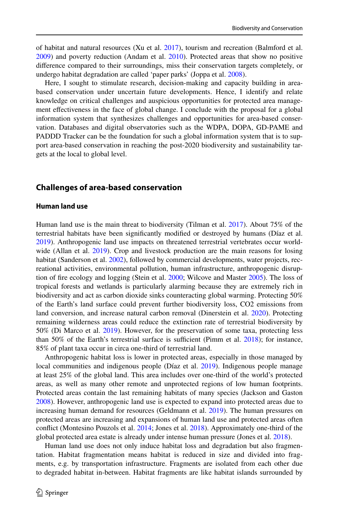of habitat and natural resources (Xu et al. [2017\)](#page-27-0), tourism and recreation (Balmford et al. [2009\)](#page-19-1) and poverty reduction (Andam et al. [2010\)](#page-19-2). Protected areas that show no positive diference compared to their surroundings, miss their conservation targets completely, or undergo habitat degradation are called 'paper parks' (Joppa et al. [2008](#page-23-7)).

Here, I sought to stimulate research, decision-making and capacity building in areabased conservation under uncertain future developments. Hence, I identify and relate knowledge on critical challenges and auspicious opportunities for protected area management efectiveness in the face of global change. I conclude with the proposal for a global information system that synthesizes challenges and opportunities for area-based conservation. Databases and digital observatories such as the WDPA, DOPA, GD-PAME and PADDD Tracker can be the foundation for such a global information system that is to support area-based conservation in reaching the post-2020 biodiversity and sustainability targets at the local to global level.

# **Challenges of area‑based conservation**

# **Human land use**

Human land use is the main threat to biodiversity (Tilman et al. [2017\)](#page-26-6). About 75% of the terrestrial habitats have been signifcantly modifed or destroyed by humans (Díaz et al. [2019\)](#page-21-3). Anthropogenic land use impacts on threatened terrestrial vertebrates occur world-wide (Allan et al. [2019\)](#page-19-3). Crop and livestock production are the main reasons for losing habitat (Sanderson et al. [2002](#page-25-2)), followed by commercial developments, water projects, recreational activities, environmental pollution, human infrastructure, anthropogenic disruption of fre ecology and logging (Stein et al. [2000](#page-26-7); Wilcove and Master [2005](#page-26-8)). The loss of tropical forests and wetlands is particularly alarming because they are extremely rich in biodiversity and act as carbon dioxide sinks counteracting global warming. Protecting 50% of the Earth's land surface could prevent further biodiversity loss, CO2 emissions from land conversion, and increase natural carbon removal (Dinerstein et al. [2020\)](#page-21-4). Protecting remaining wilderness areas could reduce the extinction rate of terrestrial biodiversity by 50% (Di Marco et al. [2019\)](#page-20-3). However, for the preservation of some taxa, protecting less than  $50\%$  of the Earth's terrestrial surface is sufficient (Pimm et al.  $2018$ ); for instance, 85% of plant taxa occur in circa one-third of terrestrial land.

Anthropogenic habitat loss is lower in protected areas, especially in those managed by local communities and indigenous people (Díaz et al. [2019\)](#page-21-3). Indigenous people manage at least 25% of the global land. This area includes over one-third of the world's protected areas, as well as many other remote and unprotected regions of low human footprints. Protected areas contain the last remaining habitats of many species (Jackson and Gaston [2008\)](#page-23-8). However, anthropogenic land use is expected to expand into protected areas due to increasing human demand for resources (Geldmann et al. [2019\)](#page-22-0). The human pressures on protected areas are increasing and expansions of human land use and protected areas often confict (Montesino Pouzols et al. [2014;](#page-24-2) Jones et al. [2018](#page-23-9)). Approximately one-third of the global protected area estate is already under intense human pressure (Jones et al. [2018](#page-23-9)).

Human land use does not only induce habitat loss and degradation but also fragmentation. Habitat fragmentation means habitat is reduced in size and divided into fragments, e.g. by transportation infrastructure. Fragments are isolated from each other due to degraded habitat in-between. Habitat fragments are like habitat islands surrounded by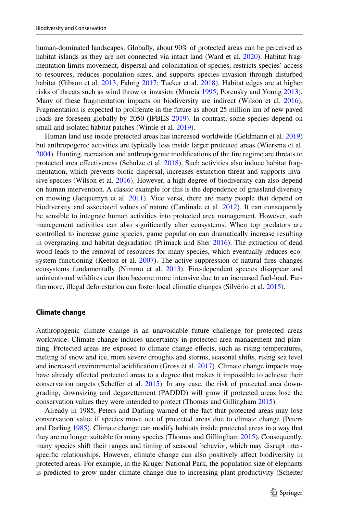human-dominated landscapes. Globally, about 90% of protected areas can be perceived as habitat islands as they are not connected via intact land (Ward et al. [2020](#page-26-9)). Habitat fragmentation limits movement, dispersal and colonization of species, restricts species' access to resources, reduces population sizes, and supports species invasion through disturbed habitat (Gibson et al. [2013;](#page-22-4) Fahrig [2017](#page-21-5); Tucker et al. [2018](#page-26-10)). Habitat edges are at higher risks of threats such as wind throw or invasion (Murcia [1995;](#page-24-3) Porensky and Young [2013](#page-25-4)). Many of these fragmentation impacts on biodiversity are indirect (Wilson et al. [2016](#page-27-1)). Fragmentation is expected to proliferate in the future as about 25 million km of new paved roads are foreseen globally by 2050 (IPBES [2019\)](#page-23-10). In contrast, some species depend on small and isolated habitat patches (Wintle et al. [2019\)](#page-27-2).

Human land use inside protected areas has increased worldwide (Geldmann et al. [2019](#page-22-0)) but anthropogenic activities are typically less inside larger protected areas (Wiersma et al. [2004\)](#page-26-11). Hunting, recreation and anthropogenic modifcations of the fre regime are threats to protected area efectiveness (Schulze et al. [2018\)](#page-25-5). Such activities also induce habitat fragmentation, which prevents biotic dispersal, increases extinction threat and supports invasive species (Wilson et al. [2016](#page-27-1)). However, a high degree of biodiversity can also depend on human intervention. A classic example for this is the dependence of grassland diversity on mowing (Jacquemyn et al. [2011\)](#page-23-11). Vice versa, there are many people that depend on biodiversity and associated values of nature (Cardinale et al. [2012\)](#page-20-4). It can consequently be sensible to integrate human activities into protected area management. However, such management activities can also signifcantly alter ecosystems. When top predators are controlled to increase game species, game population can dramatically increase resulting in overgrazing and habitat degradation (Primack and Sher [2016](#page-25-6)). The extraction of dead wood leads to the removal of resources for many species, which eventually reduces eco-system functioning (Keeton et al. [2007\)](#page-23-12). The active suppression of natural fires changes ecosystems fundamentally (Nimmo et al. [2013](#page-24-4)). Fire-dependent species disappear and unintentional wildfres can then become more intensive due to an increased fuel-load. Furthermore, illegal deforestation can foster local climatic changes (Silvério et al. [2015\)](#page-26-12).

#### **Climate change**

Anthropogenic climate change is an unavoidable future challenge for protected areas worldwide. Climate change induces uncertainty in protected area management and planning. Protected areas are exposed to climate change efects, such as rising temperatures, melting of snow and ice, more severe droughts and storms, seasonal shifts, rising sea level and increased environmental acidifcation (Gross et al. [2017](#page-22-5)). Climate change impacts may have already afected protected areas to a degree that makes it impossible to achieve their conservation targets (Scheffer et al.  $2015$ ). In any case, the risk of protected area downgrading, downsizing and degazettement (PADDD) will grow if protected areas lose the conservation values they were intended to protect (Thomas and Gillingham [2015\)](#page-26-13).

Already in 1985, Peters and Darling warned of the fact that protected areas may lose conservation value if species move out of protected areas due to climate change (Peters and Darling [1985](#page-25-8)). Climate change can modify habitats inside protected areas in a way that they are no longer suitable for many species (Thomas and Gillingham [2015](#page-26-13)). Consequently, many species shift their ranges and timing of seasonal behavior, which may disrupt interspecifc relationships. However, climate change can also positively afect biodiversity in protected areas. For example, in the Kruger National Park, the population size of elephants is predicted to grow under climate change due to increasing plant productivity (Scheiter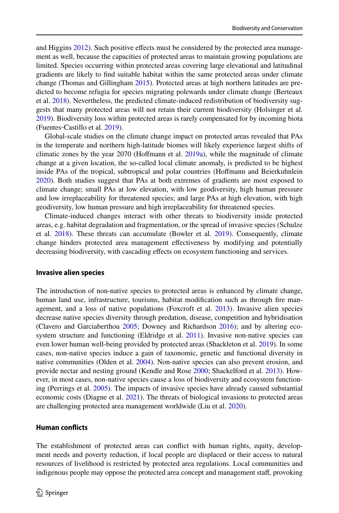and Higgins [2012](#page-25-9)). Such positive effects must be considered by the protected area management as well, because the capacities of protected areas to maintain growing populations are limited. Species occurring within protected areas covering large elevational and latitudinal gradients are likely to fnd suitable habitat within the same protected areas under climate change (Thomas and Gillingham [2015](#page-26-13)). Protected areas at high northern latitudes are predicted to become refugia for species migrating polewards under climate change (Berteaux et al. [2018\)](#page-19-4). Nevertheless, the predicted climate-induced redistribution of biodiversity suggests that many protected areas will not retain their current biodiversity (Holsinger et al. [2019\)](#page-23-13). Biodiversity loss within protected areas is rarely compensated for by incoming biota (Fuentes‐Castillo et al. [2019](#page-21-6)).

Global-scale studies on the climate change impact on protected areas revealed that PAs in the temperate and northern high-latitude biomes will likely experience largest shifts of climatic zones by the year 2070 (Hofmann et al. [2019a](#page-22-6)), while the magnitude of climate change at a given location, the so-called local climate anomaly, is predicted to be highest inside PAs of the tropical, subtropical and polar countries (Hofmann and Beierkuhnlein [2020\)](#page-22-7). Both studies suggest that PAs at both extremes of gradients are most exposed to climate change; small PAs at low elevation, with low geodiversity, high human pressure and low irreplaceability for threatened species; and large PAs at high elevation, with high geodiversity, low human pressure and high irreplaceability for threatened species.

Climate-induced changes interact with other threats to biodiversity inside protected areas, e.g. habitat degradation and fragmentation, or the spread of invasive species (Schulze et al. [2018\)](#page-25-5). These threats can accumulate (Bowler et al. [2019](#page-20-5)). Consequently, climate change hinders protected area management efectiveness by modifying and potentially decreasing biodiversity, with cascading efects on ecosystem functioning and services.

#### **Invasive alien species**

The introduction of non-native species to protected areas is enhanced by climate change, human land use, infrastructure, tourisms, habitat modifcation such as through fre management, and a loss of native populations (Foxcroft et al. [2013](#page-21-7)). Invasive alien species decrease native species diversity through predation, disease, competition and hybridisation (Clavero and Garciaberthou [2005;](#page-20-6) Downey and Richardson [2016](#page-21-8)); and by altering eco-system structure and functioning (Eldridge et al. [2011](#page-21-9)). Invasive non-native species can even lower human well-being provided by protected areas (Shackleton et al. [2019\)](#page-25-10). In some cases, non-native species induce a gain of taxonomic, genetic and functional diversity in native communities (Olden et al. [2004](#page-24-5)). Non-native species can also prevent erosion, and provide nectar and nesting ground (Kendle and Rose [2000;](#page-23-14) Shackelford et al. [2013](#page-25-11)). However, in most cases, non-native species cause a loss of biodiversity and ecosystem functioning (Perrings et al. [2005\)](#page-25-12). The impacts of invasive species have already caused substantial economic costs (Diagne et al. [2021\)](#page-21-10). The threats of biological invasions to protected areas are challenging protected area management worldwide (Liu et al. [2020](#page-23-15)).

# **Human conficts**

The establishment of protected areas can confict with human rights, equity, development needs and poverty reduction, if local people are displaced or their access to natural resources of livelihood is restricted by protected area regulations. Local communities and indigenous people may oppose the protected area concept and management staff, provoking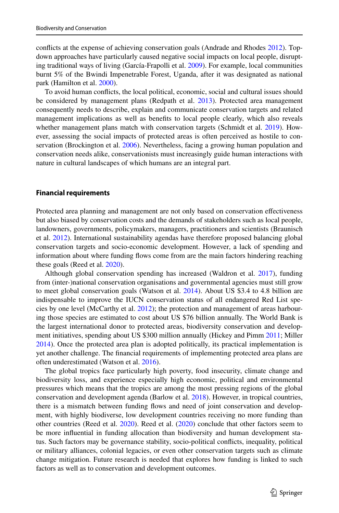conficts at the expense of achieving conservation goals (Andrade and Rhodes [2012](#page-19-5)). Topdown approaches have particularly caused negative social impacts on local people, disrupting traditional ways of living (García-Frapolli et al. [2009\)](#page-21-11). For example, local communities burnt 5% of the Bwindi Impenetrable Forest, Uganda, after it was designated as national park (Hamilton et al. [2000](#page-22-8)).

To avoid human conficts, the local political, economic, social and cultural issues should be considered by management plans (Redpath et al. [2013](#page-25-13)). Protected area management consequently needs to describe, explain and communicate conservation targets and related management implications as well as benefts to local people clearly, which also reveals whether management plans match with conservation targets (Schmidt et al. [2019\)](#page-25-14). However, assessing the social impacts of protected areas is often perceived as hostile to conservation (Brockington et al. [2006\)](#page-20-7). Nevertheless, facing a growing human population and conservation needs alike, conservationists must increasingly guide human interactions with nature in cultural landscapes of which humans are an integral part.

#### **Financial requirements**

Protected area planning and management are not only based on conservation efectiveness but also biased by conservation costs and the demands of stakeholders such as local people, landowners, governments, policymakers, managers, practitioners and scientists (Braunisch et al. [2012](#page-20-8)). International sustainability agendas have therefore proposed balancing global conservation targets and socio-economic development. However, a lack of spending and information about where funding fows come from are the main factors hindering reaching these goals (Reed et al. [2020\)](#page-25-15).

Although global conservation spending has increased (Waldron et al. [2017\)](#page-26-14), funding from (inter-)national conservation organisations and governmental agencies must still grow to meet global conservation goals (Watson et al. [2014\)](#page-26-1). About US \$3.4 to 4.8 billion are indispensable to improve the IUCN conservation status of all endangered Red List species by one level (McCarthy et al. [2012](#page-24-6)); the protection and management of areas harbouring those species are estimated to cost about US \$76 billion annually. The World Bank is the largest international donor to protected areas, biodiversity conservation and development initiatives, spending about US \$300 million annually (Hickey and Pimm [2011;](#page-22-9) Miller [2014\)](#page-24-7). Once the protected area plan is adopted politically, its practical implementation is yet another challenge. The fnancial requirements of implementing protected area plans are often underestimated (Watson et al. [2016\)](#page-26-15).

The global tropics face particularly high poverty, food insecurity, climate change and biodiversity loss, and experience especially high economic, political and environmental pressures which means that the tropics are among the most pressing regions of the global conservation and development agenda (Barlow et al. [2018](#page-19-6)). However, in tropical countries, there is a mismatch between funding fows and need of joint conservation and development, with highly biodiverse, low development countries receiving no more funding than other countries (Reed et al. [2020](#page-25-15)). Reed et al. [\(2020](#page-25-15)) conclude that other factors seem to be more infuential in funding allocation than biodiversity and human development status. Such factors may be governance stability, socio-political conficts, inequality, political or military alliances, colonial legacies, or even other conservation targets such as climate change mitigation. Future research is needed that explores how funding is linked to such factors as well as to conservation and development outcomes.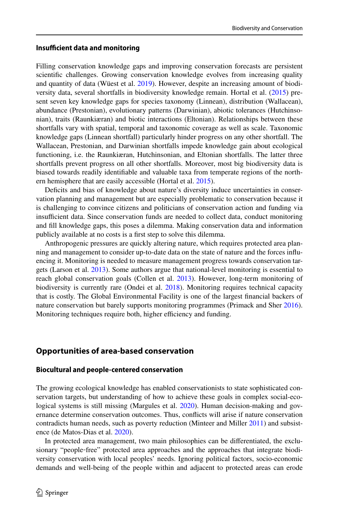#### **Insufficient data and monitoring**

Filling conservation knowledge gaps and improving conservation forecasts are persistent scientifc challenges. Growing conservation knowledge evolves from increasing quality and quantity of data (Wüest et al. [2019](#page-27-3)). However, despite an increasing amount of biodiversity data, several shortfalls in biodiversity knowledge remain. Hortal et al. [\(2015](#page-23-16)) present seven key knowledge gaps for species taxonomy (Linnean), distribution (Wallacean), abundance (Prestonian), evolutionary patterns (Darwinian), abiotic tolerances (Hutchinsonian), traits (Raunkiæran) and biotic interactions (Eltonian). Relationships between these shortfalls vary with spatial, temporal and taxonomic coverage as well as scale. Taxonomic knowledge gaps (Linnean shortfall) particularly hinder progress on any other shortfall. The Wallacean, Prestonian, and Darwinian shortfalls impede knowledge gain about ecological functioning, i.e. the Raunkiæran, Hutchinsonian, and Eltonian shortfalls. The latter three shortfalls prevent progress on all other shortfalls. Moreover, most big biodiversity data is biased towards readily identifable and valuable taxa from temperate regions of the northern hemisphere that are easily accessible (Hortal et al. [2015](#page-23-16)).

Deficits and bias of knowledge about nature's diversity induce uncertainties in conservation planning and management but are especially problematic to conservation because it is challenging to convince citizens and politicians of conservation action and funding via insufficient data. Since conservation funds are needed to collect data, conduct monitoring and fll knowledge gaps, this poses a dilemma. Making conservation data and information publicly available at no costs is a frst step to solve this dilemma.

Anthropogenic pressures are quickly altering nature, which requires protected area planning and management to consider up-to-date data on the state of nature and the forces infuencing it. Monitoring is needed to measure management progress towards conservation targets (Larson et al. [2013](#page-23-17)). Some authors argue that national-level monitoring is essential to reach global conservation goals (Collen et al. [2013](#page-20-9)). However, long-term monitoring of biodiversity is currently rare (Ondei et al. [2018](#page-24-8)). Monitoring requires technical capacity that is costly. The Global Environmental Facility is one of the largest fnancial backers of nature conservation but barely supports monitoring programmes (Primack and Sher [2016](#page-25-6)). Monitoring techniques require both, higher efficiency and funding.

# **Opportunities of area‑based conservation**

## **Biocultural and people‑centered conservation**

The growing ecological knowledge has enabled conservationists to state sophisticated conservation targets, but understanding of how to achieve these goals in complex social-ecological systems is still missing (Margules et al. [2020](#page-24-9)). Human decision-making and governance determine conservation outcomes. Thus, conficts will arise if nature conservation contradicts human needs, such as poverty reduction (Minteer and Miller [2011\)](#page-24-10) and subsistence (de Matos-Dias et al. [2020](#page-20-10)).

In protected area management, two main philosophies can be diferentiated, the exclusionary "people-free" protected area approaches and the approaches that integrate biodiversity conservation with local peoples' needs. Ignoring political factors, socio-economic demands and well-being of the people within and adjacent to protected areas can erode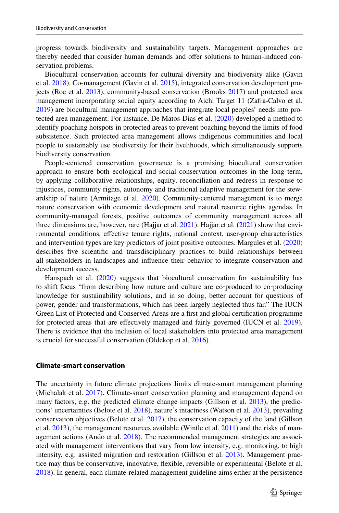progress towards biodiversity and sustainability targets. Management approaches are thereby needed that consider human demands and offer solutions to human-induced conservation problems.

Biocultural conservation accounts for cultural diversity and biodiversity alike (Gavin et al. [2018](#page-21-12)). Co-management (Gavin et al. [2015\)](#page-21-13), integrated conservation development projects (Roe et al. [2013](#page-25-16)), community-based conservation (Brooks [2017\)](#page-20-11) and protected area management incorporating social equity according to Aichi Target 11 (Zafra-Calvo et al. [2019\)](#page-27-4) are biocultural management approaches that integrate local peoples' needs into protected area management. For instance, De Matos-Dias et al. [\(2020](#page-20-10)) developed a method to identify poaching hotspots in protected areas to prevent poaching beyond the limits of food subsistence. Such protected area management allows indigenous communities and local people to sustainably use biodiversity for their livelihoods, which simultaneously supports biodiversity conservation.

People-centered conservation governance is a promising biocultural conservation approach to ensure both ecological and social conservation outcomes in the long term, by applying collaborative relationships, equity, reconciliation and redress in response to injustices, community rights, autonomy and traditional adaptive management for the stewardship of nature (Armitage et al. [2020\)](#page-19-7). Community-centered management is to merge nature conservation with economic development and natural resource rights agendas. In community-managed forests, positive outcomes of community management across all three dimensions are, however, rare (Hajjar et al.  $2021$ ). Hajjar et al.  $(2021)$  $(2021)$  show that environmental conditions, efective tenure rights, national context, user-group characteristics and intervention types are key predictors of joint positive outcomes. Margules et al. [\(2020](#page-24-9)) describes fve scientifc and transdisciplinary practices to build relationships between all stakeholders in landscapes and infuence their behavior to integrate conservation and development success.

Hanspach et al. [\(2020](#page-22-11)) suggests that biocultural conservation for sustainability has to shift focus "from describing how nature and culture are co-produced to co-producing knowledge for sustainability solutions, and in so doing, better account for questions of power, gender and transformations, which has been largely neglected thus far." The IUCN Green List of Protected and Conserved Areas are a frst and global certifcation programme for protected areas that are efectively managed and fairly governed (IUCN et al. [2019](#page-23-18)). There is evidence that the inclusion of local stakeholders into protected area management is crucial for successful conservation (Oldekop et al. [2016](#page-24-11)).

## **Climate‑smart conservation**

The uncertainty in future climate projections limits climate-smart management planning (Michalak et al. [2017\)](#page-24-12). Climate-smart conservation planning and management depend on many factors, e.g. the predicted climate change impacts (Gillson et al. [2013](#page-22-12)), the predictions' uncertainties (Belote et al. [2018](#page-19-8)), nature's intactness (Watson et al. [2013](#page-26-16)), prevailing conservation objectives (Belote et al. [2017\)](#page-19-9), the conservation capacity of the land (Gillson et al. [2013\)](#page-22-12), the management resources available (Wintle et al. [2011\)](#page-27-5) and the risks of man-agement actions (Ando et al. [2018](#page-19-10)). The recommended management strategies are associated with management interventions that vary from low intensity, e.g. monitoring, to high intensity, e.g. assisted migration and restoration (Gillson et al. [2013\)](#page-22-12). Management practice may thus be conservative, innovative, fexible, reversible or experimental (Belote et al. [2018\)](#page-19-8). In general, each climate-related management guideline aims either at the persistence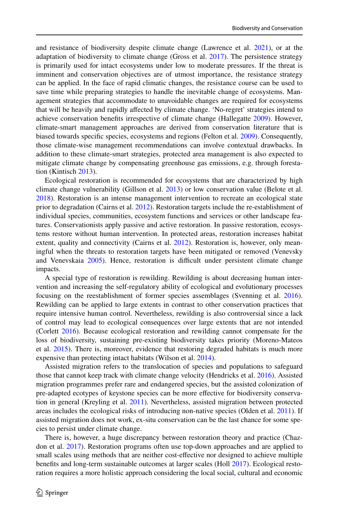and resistance of biodiversity despite climate change (Lawrence et al. [2021](#page-23-19)), or at the adaptation of biodiversity to climate change (Gross et al. [2017\)](#page-22-5). The persistence strategy is primarily used for intact ecosystems under low to moderate pressures. If the threat is imminent and conservation objectives are of utmost importance, the resistance strategy can be applied. In the face of rapid climatic changes, the resistance course can be used to save time while preparing strategies to handle the inevitable change of ecosystems. Management strategies that accommodate to unavoidable changes are required for ecosystems that will be heavily and rapidly afected by climate change. 'No-regret' strategies intend to achieve conservation benefts irrespective of climate change (Hallegatte [2009\)](#page-22-13). However, climate-smart management approaches are derived from conservation literature that is biased towards specifc species, ecosystems and regions (Felton et al. [2009\)](#page-21-14). Consequently, those climate-wise management recommendations can involve contextual drawbacks. In addition to these climate-smart strategies, protected area management is also expected to mitigate climate change by compensating greenhouse gas emissions, e.g. through forestation (Kintisch [2013\)](#page-23-20).

Ecological restoration is recommended for ecosystems that are characterized by high climate change vulnerability (Gillson et al. [2013\)](#page-22-12) or low conservation value (Belote et al. [2018\)](#page-19-8). Restoration is an intense management intervention to recreate an ecological state prior to degradation (Cairns et al. [2012](#page-20-12)). Restoration targets include the re-establishment of individual species, communities, ecosystem functions and services or other landscape features. Conservationists apply passive and active restoration. In passive restoration, ecosystems restore without human intervention. In protected areas, restoration increases habitat extent, quality and connectivity (Cairns et al. [2012](#page-20-12)). Restoration is, however, only meaningful when the threats to restoration targets have been mitigated or removed (Venevsky and Venevskaia [2005\)](#page-26-17). Hence, restoration is difficult under persistent climate change impacts.

A special type of restoration is rewilding. Rewilding is about decreasing human intervention and increasing the self-regulatory ability of ecological and evolutionary processes focusing on the reestablishment of former species assemblages (Svenning et al. [2016](#page-26-18)). Rewilding can be applied to large extents in contrast to other conservation practices that require intensive human control. Nevertheless, rewilding is also controversial since a lack of control may lead to ecological consequences over large extents that are not intended (Corlett [2016\)](#page-20-13). Because ecological restoration and rewilding cannot compensate for the loss of biodiversity, sustaining pre-existing biodiversity takes priority (Moreno-Mateos et al. [2015](#page-24-13)). There is, moreover, evidence that restoring degraded habitats is much more expensive than protecting intact habitats (Wilson et al. [2014\)](#page-27-6).

Assisted migration refers to the translocation of species and populations to safeguard those that cannot keep track with climate change velocity (Hendricks et al. [2016](#page-22-14)). Assisted migration programmes prefer rare and endangered species, but the assisted colonization of pre-adapted ecotypes of keystone species can be more efective for biodiversity conservation in general (Kreyling et al. [2011](#page-23-21)). Nevertheless, assisted migration between protected areas includes the ecological risks of introducing non-native species (Olden et al. [2011](#page-24-14)). If assisted migration does not work, ex-situ conservation can be the last chance for some species to persist under climate change.

There is, however, a huge discrepancy between restoration theory and practice (Chazdon et al. [2017](#page-20-14)). Restoration programs often use top-down approaches and are applied to small scales using methods that are neither cost-efective nor designed to achieve multiple benefts and long-term sustainable outcomes at larger scales (Holl [2017\)](#page-23-22). Ecological restoration requires a more holistic approach considering the local social, cultural and economic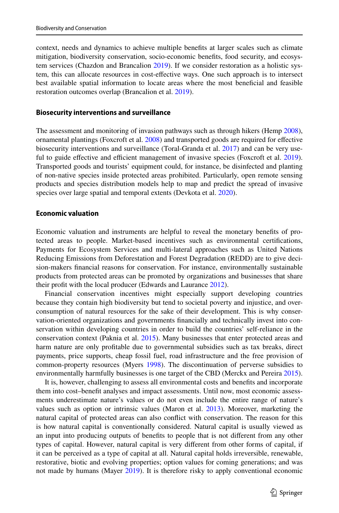context, needs and dynamics to achieve multiple benefts at larger scales such as climate mitigation, biodiversity conservation, socio-economic benefts, food security, and ecosystem services (Chazdon and Brancalion [2019](#page-20-15)). If we consider restoration as a holistic system, this can allocate resources in cost-efective ways. One such approach is to intersect best available spatial information to locate areas where the most benefcial and feasible restoration outcomes overlap (Brancalion et al. [2019\)](#page-20-16).

#### **Biosecurity interventions and surveillance**

The assessment and monitoring of invasion pathways such as through hikers (Hemp [2008](#page-22-15)), ornamental plantings (Foxcroft et al. [2008](#page-21-15)) and transported goods are required for efective biosecurity interventions and surveillance (Toral-Granda et al. [2017](#page-26-19)) and can be very use-ful to guide effective and efficient management of invasive species (Foxcroft et al. [2019](#page-21-16)). Transported goods and tourists' equipment could, for instance, be disinfected and planting of non-native species inside protected areas prohibited. Particularly, open remote sensing products and species distribution models help to map and predict the spread of invasive species over large spatial and temporal extents (Devkota et al. [2020](#page-20-17)).

### **Economic valuation**

Economic valuation and instruments are helpful to reveal the monetary benefts of protected areas to people. Market-based incentives such as environmental certifcations, Payments for Ecosystem Services and multi-lateral approaches such as United Nations Reducing Emissions from Deforestation and Forest Degradation (REDD) are to give decision-makers fnancial reasons for conservation. For instance, environmentally sustainable products from protected areas can be promoted by organizations and businesses that share their proft with the local producer (Edwards and Laurance [2012](#page-21-17)).

Financial conservation incentives might especially support developing countries because they contain high biodiversity but tend to societal poverty and injustice, and overconsumption of natural resources for the sake of their development. This is why conservation-oriented organizations and governments fnancially and technically invest into conservation within developing countries in order to build the countries' self-reliance in the conservation context (Paknia et al. [2015](#page-24-15)). Many businesses that enter protected areas and harm nature are only proftable due to governmental subsidies such as tax breaks, direct payments, price supports, cheap fossil fuel, road infrastructure and the free provision of common-property resources (Myers [1998\)](#page-24-16). The discontinuation of perverse subsidies to environmentally harmfully businesses is one target of the CBD (Merckx and Pereira [2015](#page-24-17)).

It is, however, challenging to assess all environmental costs and benefts and incorporate them into cost–beneft analyses and impact assessments. Until now, most economic assessments underestimate nature's values or do not even include the entire range of nature's values such as option or intrinsic values (Maron et al. [2013](#page-24-18)). Moreover, marketing the natural capital of protected areas can also confict with conservation. The reason for this is how natural capital is conventionally considered. Natural capital is usually viewed as an input into producing outputs of benefts to people that is not diferent from any other types of capital. However, natural capital is very diferent from other forms of capital, if it can be perceived as a type of capital at all. Natural capital holds irreversible, renewable, restorative, biotic and evolving properties; option values for coming generations; and was not made by humans (Mayer [2019](#page-24-19)). It is therefore risky to apply conventional economic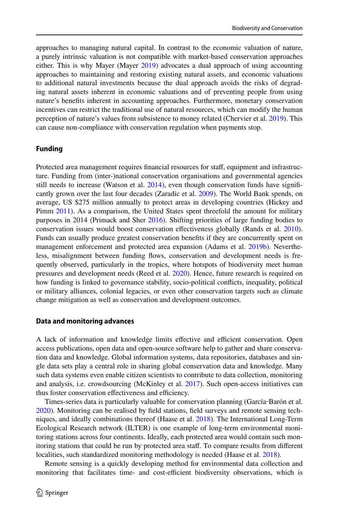approaches to managing natural capital. In contrast to the economic valuation of nature, a purely intrinsic valuation is not compatible with market-based conservation approaches either. This is why Mayer (Mayer  $2019$ ) advocates a dual approach of using accounting approaches to maintaining and restoring existing natural assets, and economic valuations to additional natural investments because the dual approach avoids the risks of degrading natural assets inherent in economic valuations and of preventing people from using nature's benefts inherent in accounting approaches. Furthermore, monetary conservation incentives can restrict the traditional use of natural resources, which can modify the human perception of nature's values from subsistence to money related (Chervier et al. [2019\)](#page-20-18). This can cause non-compliance with conservation regulation when payments stop.

### **Funding**

Protected area management requires fnancial resources for staf, equipment and infrastructure. Funding from (inter-)national conservation organisations and governmental agencies still needs to increase (Watson et al. [2014\)](#page-26-1), even though conservation funds have significantly grown over the last four decades (Zaradic et al. [2009\)](#page-27-7). The World Bank spends, on average, US \$275 million annually to protect areas in developing countries (Hickey and Pimm [2011\)](#page-22-9). As a comparison, the United States spent threefold the amount for military purposes in 2014 (Primack and Sher [2016](#page-25-6)). Shifting priorities of large funding bodies to conservation issues would boost conservation efectiveness globally (Rands et al. [2010](#page-25-17)). Funds can usually produce greatest conservation benefts if they are concurrently spent on management enforcement and protected area expansion (Adams et al. [2019b\)](#page-19-11). Nevertheless, misalignment between funding flows, conservation and development needs is frequently observed, particularly in the tropics, where hotspots of biodiversity meet human pressures and development needs (Reed et al. [2020\)](#page-25-15). Hence, future research is required on how funding is linked to governance stability, socio-political conficts, inequality, political or military alliances, colonial legacies, or even other conservation targets such as climate change mitigation as well as conservation and development outcomes.

#### **Data and monitoring advances**

A lack of information and knowledge limits effective and efficient conservation. Open access publications, open data and open-source software help to gather and share conservation data and knowledge. Global information systems, data repositories, databases and single data sets play a central role in sharing global conservation data and knowledge. Many such data systems even enable citizen scientists to contribute to data collection, monitoring and analysis, i.e. crowdsourcing (McKinley et al. [2017](#page-24-20)). Such open-access initiatives can thus foster conservation effectiveness and efficiency.

Times-series data is particularly valuable for conservation planning (García‐Barón et al. [2020\)](#page-21-18). Monitoring can be realised by feld stations, feld surveys and remote sensing techniques, and ideally combinations thereof (Haase et al. [2018](#page-22-16)). The International Long-Term Ecological Research network (ILTER) is one example of long-term environmental monitoring stations across four continents. Ideally, each protected area would contain such monitoring stations that could be run by protected area staff. To compare results from different localities, such standardized monitoring methodology is needed (Haase et al. [2018\)](#page-22-16).

Remote sensing is a quickly developing method for environmental data collection and monitoring that facilitates time- and cost-efficient biodiversity observations, which is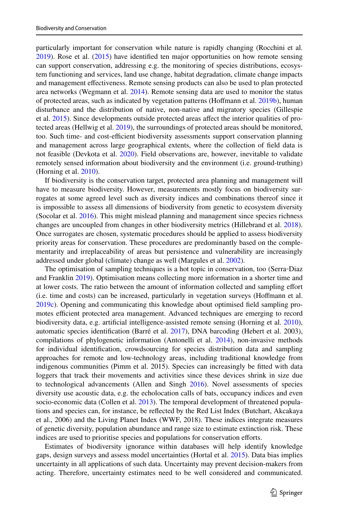particularly important for conservation while nature is rapidly changing (Rocchini et al. [2019\)](#page-25-18). Rose et al. ([2015\)](#page-25-19) have identifed ten major opportunities on how remote sensing can support conservation, addressing e.g. the monitoring of species distributions, ecosystem functioning and services, land use change, habitat degradation, climate change impacts and management efectiveness. Remote sensing products can also be used to plan protected area networks (Wegmann et al. [2014\)](#page-26-20). Remote sensing data are used to monitor the status of protected areas, such as indicated by vegetation patterns (Hoffmann et al. [2019b\)](#page-22-17), human disturbance and the distribution of native, non-native and migratory species (Gillespie et al. [2015\)](#page-22-18). Since developments outside protected areas afect the interior qualities of protected areas (Hellwig et al. [2019](#page-22-19)), the surroundings of protected areas should be monitored, too. Such time- and cost-efficient biodiversity assessments support conservation planning and management across large geographical extents, where the collection of feld data is not feasible (Devkota et al. [2020](#page-20-17)). Field observations are, however, inevitable to validate remotely sensed information about biodiversity and the environment (i.e. ground-truthing) (Horning et al. [2010\)](#page-23-23).

If biodiversity is the conservation target, protected area planning and management will have to measure biodiversity. However, measurements mostly focus on biodiversity surrogates at some agreed level such as diversity indices and combinations thereof since it is impossible to assess all dimensions of biodiversity from genetic to ecosystem diversity (Socolar et al. [2016\)](#page-26-21). This might mislead planning and management since species richness changes are uncoupled from changes in other biodiversity metrics (Hillebrand et al. [2018](#page-22-20)). Once surrogates are chosen, systematic procedures should be applied to assess biodiversity priority areas for conservation. These procedures are predominantly based on the complementarity and irreplaceability of areas but persistence and vulnerability are increasingly addressed under global (climate) change as well (Margules et al. [2002](#page-24-21)).

The optimisation of sampling techniques is a hot topic in conservation, too (Serra‐Diaz and Franklin [2019\)](#page-25-20). Optimisation means collecting more information in a shorter time and at lower costs. The ratio between the amount of information collected and sampling efort (i.e. time and costs) can be increased, particularly in vegetation surveys (Hofmann et al. [2019c\)](#page-22-21). Opening and communicating this knowledge about optimised feld sampling promotes efficient protected area management. Advanced techniques are emerging to record biodiversity data, e.g. artifcial intelligence-assisted remote sensing (Horning et al. [2010](#page-23-23)), automatic species identifcation (Barré et al. [2017](#page-19-12)), DNA barcoding (Hebert et al. 2003), compilations of phylogenetic information (Antonelli et al. [2014\)](#page-19-13), non-invasive methods for individual identifcation, crowdsourcing for species distribution data and sampling approaches for remote and low-technology areas, including traditional knowledge from indigenous communities (Pimm et al. 2015). Species can increasingly be ftted with data loggers that track their movements and activities since these devices shrink in size due to technological advancements (Allen and Singh [2016](#page-19-14)). Novel assessments of species diversity use acoustic data, e.g. the echolocation calls of bats, occupancy indices and even socio-economic data (Collen et al. [2013\)](#page-20-9). The temporal development of threatened populations and species can, for instance, be refected by the Red List Index (Butchart, Akcakaya et al., 2006) and the Living Planet Index (WWF, 2018). These indices integrate measures of genetic diversity, population abundance and range size to estimate extinction risk. These indices are used to prioritise species and populations for conservation eforts.

Estimates of biodiversity ignorance within databases will help identify knowledge gaps, design surveys and assess model uncertainties (Hortal et al. [2015](#page-23-16)). Data bias implies uncertainty in all applications of such data. Uncertainty may prevent decision-makers from acting. Therefore, uncertainty estimates need to be well considered and communicated.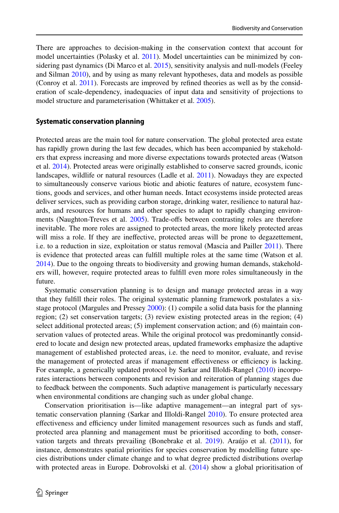There are approaches to decision-making in the conservation context that account for model uncertainties (Polasky et al. [2011\)](#page-25-21). Model uncertainties can be minimized by considering past dynamics (Di Marco et al. [2015](#page-20-19)), sensitivity analysis and null-models (Feeley and Silman [2010\)](#page-21-19), and by using as many relevant hypotheses, data and models as possible (Conroy et al. [2011\)](#page-20-20). Forecasts are improved by refned theories as well as by the consideration of scale-dependency, inadequacies of input data and sensitivity of projections to model structure and parameterisation (Whittaker et al. [2005\)](#page-26-22).

# **Systematic conservation planning**

Protected areas are the main tool for nature conservation. The global protected area estate has rapidly grown during the last few decades, which has been accompanied by stakeholders that express increasing and more diverse expectations towards protected areas (Watson et al. [2014\)](#page-26-1). Protected areas were originally established to conserve sacred grounds, iconic landscapes, wildlife or natural resources (Ladle et al. [2011](#page-23-24)). Nowadays they are expected to simultaneously conserve various biotic and abiotic features of nature, ecosystem functions, goods and services, and other human needs. Intact ecosystems inside protected areas deliver services, such as providing carbon storage, drinking water, resilience to natural hazards, and resources for humans and other species to adapt to rapidly changing environ-ments (Naughton-Treves et al. [2005\)](#page-24-22). Trade-offs between contrasting roles are therefore inevitable. The more roles are assigned to protected areas, the more likely protected areas will miss a role. If they are inefective, protected areas will be prone to degazettement, i.e. to a reduction in size, exploitation or status removal (Mascia and Pailler [2011](#page-24-23)). There is evidence that protected areas can fulfll multiple roles at the same time (Watson et al. [2014\)](#page-26-1). Due to the ongoing threats to biodiversity and growing human demands, stakeholders will, however, require protected areas to fulfll even more roles simultaneously in the future.

Systematic conservation planning is to design and manage protected areas in a way that they fulfll their roles. The original systematic planning framework postulates a six-stage protocol (Margules and Pressey [2000](#page-24-24)): (1) compile a solid data basis for the planning region; (2) set conservation targets; (3) review existing protected areas in the region; (4) select additional protected areas; (5) implement conservation action; and (6) maintain conservation values of protected areas. While the original protocol was predominantly considered to locate and design new protected areas, updated frameworks emphasize the adaptive management of established protected areas, i.e. the need to monitor, evaluate, and revise the management of protected areas if management effectiveness or efficiency is lacking. For example, a generically updated protocol by Sarkar and Illoldi-Rangel [\(2010](#page-25-0)) incorporates interactions between components and revision and reiteration of planning stages due to feedback between the components. Such adaptive management is particularly necessary when environmental conditions are changing such as under global change.

Conservation prioritisation is—like adaptive management—an integral part of systematic conservation planning (Sarkar and Illoldi-Rangel [2010\)](#page-25-0). To ensure protected area effectiveness and efficiency under limited management resources such as funds and staff, protected area planning and management must be prioritised according to both, conservation targets and threats prevailing (Bonebrake et al. [2019](#page-20-21)). Araújo et al. [\(2011](#page-19-15)), for instance, demonstrates spatial priorities for species conservation by modelling future species distributions under climate change and to what degree predicted distributions overlap with protected areas in Europe. Dobrovolski et al. ([2014\)](#page-21-20) show a global prioritisation of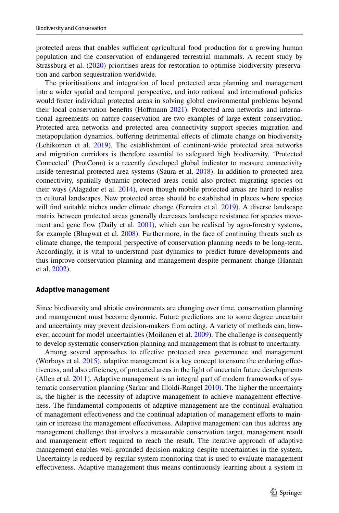protected areas that enables sufficient agricultural food production for a growing human population and the conservation of endangered terrestrial mammals. A recent study by Strassburg et al. [\(2020](#page-26-23)) prioritises areas for restoration to optimise biodiversity preservation and carbon sequestration worldwide.

The prioritisations and integration of local protected area planning and management into a wider spatial and temporal perspective, and into national and international policies would foster individual protected areas in solving global environmental problems beyond their local conservation benefts (Hofmann [2021\)](#page-22-22). Protected area networks and international agreements on nature conservation are two examples of large-extent conservation. Protected area networks and protected area connectivity support species migration and metapopulation dynamics, bufering detrimental efects of climate change on biodiversity (Lehikoinen et al. [2019](#page-23-6)). The establishment of continent-wide protected area networks and migration corridors is therefore essential to safeguard high biodiversity. 'Protected Connected' (ProtConn) is a recently developed global indicator to measure connectivity inside terrestrial protected area systems (Saura et al. [2018](#page-25-22)). In addition to protected area connectivity, spatially dynamic protected areas could also protect migrating species on their ways (Alagador et al. [2014\)](#page-19-16), even though mobile protected areas are hard to realise in cultural landscapes. New protected areas should be established in places where species will fnd suitable niches under climate change (Ferreira et al. [2019](#page-21-21)). A diverse landscape matrix between protected areas generally decreases landscape resistance for species move-ment and gene flow (Daily et al. [2001](#page-20-22)), which can be realised by agro-forestry systems, for example (Bhagwat et al. [2008](#page-19-17)). Furthermore, in the face of continuing threats such as climate change, the temporal perspective of conservation planning needs to be long-term. Accordingly, it is vital to understand past dynamics to predict future developments and thus improve conservation planning and management despite permanent change (Hannah et al. [2002\)](#page-22-23).

#### **Adaptive management**

Since biodiversity and abiotic environments are changing over time, conservation planning and management must become dynamic. Future predictions are to some degree uncertain and uncertainty may prevent decision-makers from acting. A variety of methods can, however, account for model uncertainties (Moilanen et al. [2009\)](#page-24-25). The challenge is consequently to develop systematic conservation planning and management that is robust to uncertainty.

Among several approaches to efective protected area governance and management (Worboys et al. [2015](#page-27-8)), adaptive management is a key concept to ensure the enduring efectiveness, and also efficiency, of protected areas in the light of uncertain future developments (Allen et al. [2011](#page-19-18)). Adaptive management is an integral part of modern frameworks of systematic conservation planning (Sarkar and Illoldi-Rangel [2010](#page-25-0)). The higher the uncertainty is, the higher is the necessity of adaptive management to achieve management efectiveness. The fundamental components of adaptive management are the continual evaluation of management effectiveness and the continual adaptation of management efforts to maintain or increase the management efectiveness. Adaptive management can thus address any management challenge that involves a measurable conservation target, management result and management efort required to reach the result. The iterative approach of adaptive management enables well-grounded decision-making despite uncertainties in the system. Uncertainty is reduced by regular system monitoring that is used to evaluate management efectiveness. Adaptive management thus means continuously learning about a system in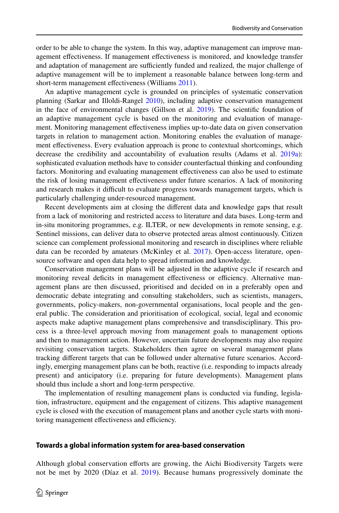order to be able to change the system. In this way, adaptive management can improve management efectiveness. If management efectiveness is monitored, and knowledge transfer and adaptation of management are sufficiently funded and realized, the major challenge of adaptive management will be to implement a reasonable balance between long-term and short-term management effectiveness (Williams [2011](#page-26-24)).

An adaptive management cycle is grounded on principles of systematic conservation planning (Sarkar and Illoldi-Rangel [2010](#page-25-0)), including adaptive conservation management in the face of environmental changes (Gillson et al.  $2019$ ). The scientific foundation of an adaptive management cycle is based on the monitoring and evaluation of management. Monitoring management efectiveness implies up-to-date data on given conservation targets in relation to management action. Monitoring enables the evaluation of management efectiveness. Every evaluation approach is prone to contextual shortcomings, which decrease the credibility and accountability of evaluation results (Adams et al. [2019a\)](#page-19-19): sophisticated evaluation methods have to consider counterfactual thinking and confounding factors. Monitoring and evaluating management efectiveness can also be used to estimate the risk of losing management efectiveness under future scenarios. A lack of monitoring and research makes it difficult to evaluate progress towards management targets, which is particularly challenging under-resourced management.

Recent developments aim at closing the diferent data and knowledge gaps that result from a lack of monitoring and restricted access to literature and data bases. Long-term and in-situ monitoring programmes, e.g. ILTER, or new developments in remote sensing, e.g. Sentinel missions, can deliver data to observe protected areas almost continuously. Citizen science can complement professional monitoring and research in disciplines where reliable data can be recorded by amateurs (McKinley et al. [2017](#page-24-20)). Open-access literature, opensource software and open data help to spread information and knowledge.

Conservation management plans will be adjusted in the adaptive cycle if research and monitoring reveal deficits in management effectiveness or efficiency. Alternative management plans are then discussed, prioritised and decided on in a preferably open and democratic debate integrating and consulting stakeholders, such as scientists, managers, governments, policy-makers, non-governmental organisations, local people and the general public. The consideration and prioritisation of ecological, social, legal and economic aspects make adaptive management plans comprehensive and transdisciplinary. This process is a three-level approach moving from management goals to management options and then to management action. However, uncertain future developments may also require revisiting conservation targets. Stakeholders then agree on several management plans tracking diferent targets that can be followed under alternative future scenarios. Accordingly, emerging management plans can be both, reactive (i.e. responding to impacts already present) and anticipatory (i.e. preparing for future developments). Management plans should thus include a short and long-term perspective.

The implementation of resulting management plans is conducted via funding, legislation, infrastructure, equipment and the engagement of citizens. This adaptive management cycle is closed with the execution of management plans and another cycle starts with monitoring management effectiveness and efficiency.

## **Towards a global information system for area‑based conservation**

Although global conservation eforts are growing, the Aichi Biodiversity Targets were not be met by 2020 (Díaz et al. [2019\)](#page-21-3). Because humans progressively dominate the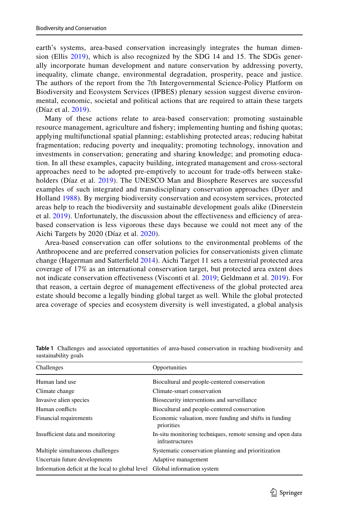earth's systems, area-based conservation increasingly integrates the human dimension (Ellis [2019](#page-21-22)), which is also recognized by the SDG 14 and 15. The SDGs generally incorporate human development and nature conservation by addressing poverty, inequality, climate change, environmental degradation, prosperity, peace and justice. The authors of the report from the 7th Intergovernmental Science-Policy Platform on Biodiversity and Ecosystem Services (IPBES) plenary session suggest diverse environmental, economic, societal and political actions that are required to attain these targets (Díaz et al. [2019](#page-21-3)).

Many of these actions relate to area-based conservation: promoting sustainable resource management, agriculture and fshery; implementing hunting and fshing quotas; applying multifunctional spatial planning; establishing protected areas; reducing habitat fragmentation; reducing poverty and inequality; promoting technology, innovation and investments in conservation; generating and sharing knowledge; and promoting education. In all these examples, capacity building, integrated management and cross-sectoral approaches need to be adopted pre-emptively to account for trade-ofs between stakeholders (Díaz et al. [2019](#page-21-3)). The UNESCO Man and Biosphere Reserves are successful examples of such integrated and transdisciplinary conservation approaches (Dyer and Holland [1988](#page-21-23)). By merging biodiversity conservation and ecosystem services, protected areas help to reach the biodiversity and sustainable development goals alike (Dinerstein et al. [2019](#page-21-24)). Unfortunately, the discussion about the effectiveness and efficiency of areabased conservation is less vigorous these days because we could not meet any of the Aichi Targets by 2020 (Díaz et al. [2020\)](#page-21-25).

Area-based conservation can offer solutions to the environmental problems of the Anthropocene and are preferred conservation policies for conservationists given climate change (Hagerman and Satterfeld [2014\)](#page-22-25). Aichi Target 11 sets a terrestrial protected area coverage of 17% as an international conservation target, but protected area extent does not indicate conservation efectiveness (Visconti et al. [2019](#page-26-3); Geldmann et al. [2019\)](#page-22-0). For that reason, a certain degree of management efectiveness of the global protected area estate should become a legally binding global target as well. While the global protected area coverage of species and ecosystem diversity is well investigated, a global analysis

| Challenges                                       | Opportunities                                                                  |
|--------------------------------------------------|--------------------------------------------------------------------------------|
| Human land use                                   | Biocultural and people-centered conservation                                   |
| Climate change                                   | Climate-smart conservation                                                     |
| Invasive alien species                           | Biosecurity interventions and surveillance                                     |
| Human conflicts                                  | Biocultural and people-centered conservation                                   |
| Financial requirements                           | Economic valuation, more funding and shifts in funding<br>priorities           |
| Insufficient data and monitoring                 | In-situ monitoring techniques, remote sensing and open data<br>infrastructures |
| Multiple simultaneous challenges                 | Systematic conservation planning and prioritization                            |
| Uncertain future developments                    | Adaptive management                                                            |
| Information deficit at the local to global level | Global information system                                                      |

<span id="page-16-0"></span>**Table 1** Challenges and associated opportunities of area-based conservation in reaching biodiversity and sustainability goals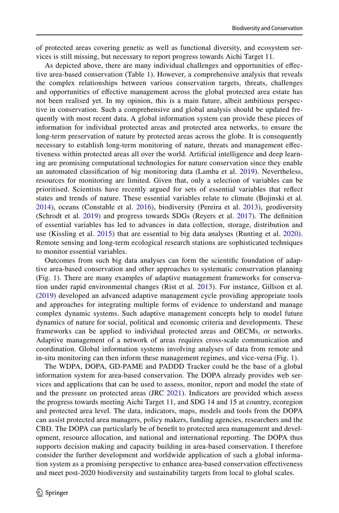of protected areas covering genetic as well as functional diversity, and ecosystem services is still missing, but necessary to report progress towards Aichi Target 11.

As depicted above, there are many individual challenges and opportunities of efective area-based conservation (Table [1](#page-16-0)). However, a comprehensive analysis that reveals the complex relationships between various conservation targets, threats, challenges and opportunities of efective management across the global protected area estate has not been realised yet. In my opinion, this is a main future, albeit ambitious perspective in conservation. Such a comprehensive and global analysis should be updated frequently with most recent data. A global information system can provide these pieces of information for individual protected areas and protected area networks, to ensure the long-term preservation of nature by protected areas across the globe. It is consequently necessary to establish long-term monitoring of nature, threats and management efectiveness within protected areas all over the world. Artifcial intelligence and deep learning are promising computational technologies for nature conservation since they enable an automated classifcation of big monitoring data (Lamba et al. [2019](#page-23-25)). Nevertheless, resources for monitoring are limited. Given that, only a selection of variables can be prioritised. Scientists have recently argued for sets of essential variables that refect states and trends of nature. These essential variables relate to climate (Bojinski et al. [2014](#page-20-23)), oceans (Constable et al. [2016](#page-20-24)), biodiversity (Pereira et al. [2013\)](#page-24-26), geodiversity (Schrodt et al. [2019](#page-25-23)) and progress towards SDGs (Reyers et al. [2017\)](#page-25-24). The definition of essential variables has led to advances in data collection, storage, distribution and use (Kissling et al. [2015](#page-23-26)) that are essential to big data analyses (Runting et al. [2020\)](#page-25-25). Remote sensing and long-term ecological research stations are sophisticated techniques to monitor essential variables.

Outcomes from such big data analyses can form the scientifc foundation of adaptive area-based conservation and other approaches to systematic conservation planning (Fig. [1\)](#page-18-0). There are many examples of adaptive management frameworks for conservation under rapid environmental changes (Rist et al. [2013\)](#page-25-26). For instance, Gillson et al. ([2019\)](#page-22-24) developed an advanced adaptive management cycle providing appropriate tools and approaches for integrating multiple forms of evidence to understand and manage complex dynamic systems. Such adaptive management concepts help to model future dynamics of nature for social, political and economic criteria and developments. These frameworks can be applied to individual protected areas and OECMs, or networks. Adaptive management of a network of areas requires cross-scale communication and coordination. Global information systems involving analyses of data from remote and in-situ monitoring can then inform these management regimes, and vice-versa (Fig. [1\)](#page-18-0).

The WDPA, DOPA, GD-PAME and PADDD Tracker could be the base of a global information system for area-based conservation. The DOPA already provides web services and applications that can be used to assess, monitor, report and model the state of and the pressure on protected areas (JRC [2021\)](#page-23-3). Indicators are provided which assess the progress towards meeting Aichi Target 11, and SDG 14 and 15 at country, ecoregion and protected area level. The data, indicators, maps, models and tools from the DOPA can assist protected area managers, policy makers, funding agencies, researchers and the CBD. The DOPA can particularly be of beneft to protected area management and development, resource allocation, and national and international reporting. The DOPA thus supports decision making and capacity building in area-based conservation. I therefore consider the further development and worldwide application of such a global information system as a promising perspective to enhance area-based conservation efectiveness and meet post-2020 biodiversity and sustainability targets from local to global scales.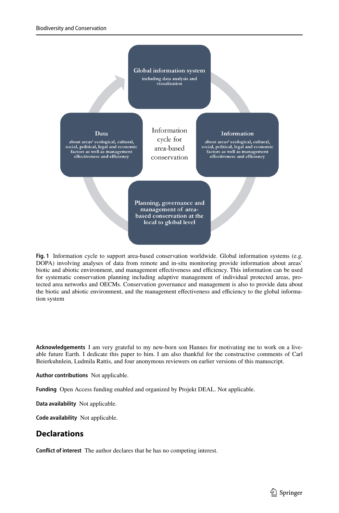

<span id="page-18-0"></span>**Fig. 1** Information cycle to support area-based conservation worldwide. Global information systems (e.g. DOPA) involving analyses of data from remote and in-situ monitoring provide information about areas' biotic and abiotic environment, and management effectiveness and efficiency. This information can be used for systematic conservation planning including adaptive management of individual protected areas, protected area networks and OECMs. Conservation governance and management is also to provide data about the biotic and abiotic environment, and the management effectiveness and efficiency to the global information system

**Acknowledgements** I am very grateful to my new-born son Hannes for motivating me to work on a liveable future Earth. I dedicate this paper to him. I am also thankful for the constructive comments of Carl Beierkuhnlein, Ludmila Rattis, and four anonymous reviewers on earlier versions of this manuscript.

**Author contributions** Not applicable.

**Funding** Open Access funding enabled and organized by Projekt DEAL. Not applicable.

**Data availability** Not applicable.

**Code availability** Not applicable.

# **Declarations**

**Confict of interest** The author declares that he has no competing interest.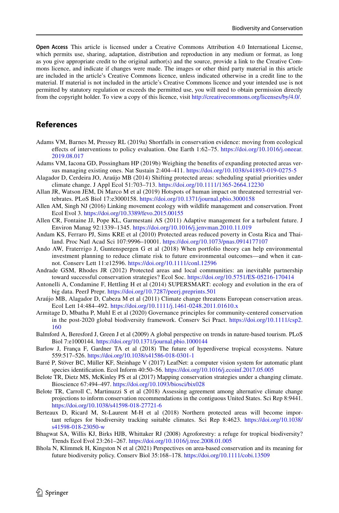**Open Access** This article is licensed under a Creative Commons Attribution 4.0 International License, which permits use, sharing, adaptation, distribution and reproduction in any medium or format, as long as you give appropriate credit to the original author(s) and the source, provide a link to the Creative Commons licence, and indicate if changes were made. The images or other third party material in this article are included in the article's Creative Commons licence, unless indicated otherwise in a credit line to the material. If material is not included in the article's Creative Commons licence and your intended use is not permitted by statutory regulation or exceeds the permitted use, you will need to obtain permission directly from the copyright holder. To view a copy of this licence, visit [http://creativecommons.org/licenses/by/4.0/.](http://creativecommons.org/licenses/by/4.0/)

# **References**

- <span id="page-19-19"></span>Adams VM, Barnes M, Pressey RL (2019a) Shortfalls in conservation evidence: moving from ecological efects of interventions to policy evaluation. One Earth 1:62–75. [https://doi.org/10.1016/j.oneear.](https://doi.org/10.1016/j.oneear.2019.08.017) [2019.08.017](https://doi.org/10.1016/j.oneear.2019.08.017)
- <span id="page-19-11"></span>Adams VM, Iacona GD, Possingham HP (2019b) Weighing the benefts of expanding protected areas versus managing existing ones. Nat Sustain 2:404–411. <https://doi.org/10.1038/s41893-019-0275-5>
- <span id="page-19-16"></span>Alagador D, Cerdeira JO, Araújo MB (2014) Shifting protected areas: scheduling spatial priorities under climate change. J Appl Ecol 51:703–713. <https://doi.org/10.1111/1365-2664.12230>
- <span id="page-19-3"></span>Allan JR, Watson JEM, Di Marco M et al (2019) Hotspots of human impact on threatened terrestrial vertebrates. PLoS Biol 17:e3000158.<https://doi.org/10.1371/journal.pbio.3000158>
- <span id="page-19-14"></span>Allen AM, Singh NJ (2016) Linking movement ecology with wildlife management and conservation. Front Ecol Evol 3. <https://doi.org/10.3389/fevo.2015.00155>
- <span id="page-19-18"></span>Allen CR, Fontaine JJ, Pope KL, Garmestani AS (2011) Adaptive management for a turbulent future. J Environ Manag 92:1339–1345.<https://doi.org/10.1016/j.jenvman.2010.11.019>
- <span id="page-19-2"></span>Andam KS, Ferraro PJ, Sims KRE et al (2010) Protected areas reduced poverty in Costa Rica and Thailand. Proc Natl Acad Sci 107:9996–10001.<https://doi.org/10.1073/pnas.0914177107>
- <span id="page-19-10"></span>Ando AW, Fraterrigo J, Guntenspergen G et al (2018) When portfolio theory can help environmental investment planning to reduce climate risk to future environmental outcomes—and when it cannot. Conserv Lett 11:e12596. <https://doi.org/10.1111/conl.12596>
- <span id="page-19-5"></span>Andrade GSM, Rhodes JR (2012) Protected areas and local communities: an inevitable partnership toward successful conservation strategies? Ecol Soc. <https://doi.org/10.5751/ES-05216-170414>
- <span id="page-19-13"></span>Antonelli A, Condamine F, Hettling H et al (2014) SUPERSMART: ecology and evolution in the era of big data. PeerJ Prepr. <https://doi.org/10.7287/peerj.preprints.501>
- <span id="page-19-15"></span>Araújo MB, Alagador D, Cabeza M et al (2011) Climate change threatens European conservation areas. Ecol Lett 14:484–492.<https://doi.org/10.1111/j.1461-0248.2011.01610.x>
- <span id="page-19-7"></span>Armitage D, Mbatha P, Muhl E et al (2020) Governance principles for community-centered conservation in the post-2020 global biodiversity framework. Conserv Sci Pract. [https://doi.org/10.1111/csp2.](https://doi.org/10.1111/csp2.160) [160](https://doi.org/10.1111/csp2.160)
- <span id="page-19-1"></span>Balmford A, Beresford J, Green J et al (2009) A global perspective on trends in nature-based tourism. PLoS Biol 7:e1000144. <https://doi.org/10.1371/journal.pbio.1000144>
- <span id="page-19-6"></span>Barlow J, França F, Gardner TA et al (2018) The future of hyperdiverse tropical ecosystems. Nature 559:517–526.<https://doi.org/10.1038/s41586-018-0301-1>
- <span id="page-19-12"></span>Barré P, Stöver BC, Müller KF, Steinhage V (2017) LeafNet: a computer vision system for automatic plant species identifcation. Ecol Inform 40:50–56. <https://doi.org/10.1016/j.ecoinf.2017.05.005>
- <span id="page-19-9"></span>Belote TR, Dietz MS, McKinley PS et al (2017) Mapping conservation strategies under a changing climate. Bioscience 67:494–497. <https://doi.org/10.1093/biosci/bix028>
- <span id="page-19-8"></span>Belote TR, Carroll C, Martinuzzi S et al (2018) Assessing agreement among alternative climate change projections to inform conservation recommendations in the contiguous United States. Sci Rep 8:9441. <https://doi.org/10.1038/s41598-018-27721-6>
- <span id="page-19-4"></span>Berteaux D, Ricard M, St-Laurent M-H et al (2018) Northern protected areas will become important refuges for biodiversity tracking suitable climates. Sci Rep 8:4623. [https://doi.org/10.1038/](https://doi.org/10.1038/s41598-018-23050-w) [s41598-018-23050-w](https://doi.org/10.1038/s41598-018-23050-w)
- <span id="page-19-17"></span>Bhagwat SA, Willis KJ, Birks HJB, Whittaker RJ (2008) Agroforestry: a refuge for tropical biodiversity? Trends Ecol Evol 23:261–267.<https://doi.org/10.1016/j.tree.2008.01.005>
- <span id="page-19-0"></span>Bhola N, Klimmek H, Kingston N et al (2021) Perspectives on area-based conservation and its meaning for future biodiversity policy. Conserv Biol 35:168–178. <https://doi.org/10.1111/cobi.13509>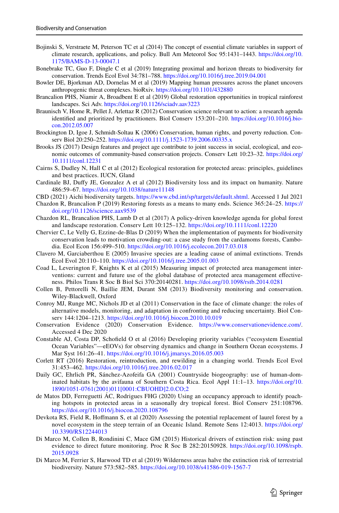- <span id="page-20-23"></span>Bojinski S, Verstraete M, Peterson TC et al (2014) The concept of essential climate variables in support of climate research, applications, and policy. Bull Am Meteorol Soc 95:1431–1443. [https://doi.org/10.](https://doi.org/10.1175/BAMS-D-13-00047.1) [1175/BAMS-D-13-00047.1](https://doi.org/10.1175/BAMS-D-13-00047.1)
- <span id="page-20-21"></span>Bonebrake TC, Guo F, Dingle C et al (2019) Integrating proximal and horizon threats to biodiversity for conservation. Trends Ecol Evol 34:781–788. <https://doi.org/10.1016/j.tree.2019.04.001>
- <span id="page-20-5"></span>Bowler DE, Bjorkman AD, Dornelas M et al (2019) Mapping human pressures across the planet uncovers anthropogenic threat complexes. bioRxiv.<https://doi.org/10.1101/432880>
- <span id="page-20-16"></span>Brancalion PHS, Niamir A, Broadbent E et al (2019) Global restoration opportunities in tropical rainforest landscapes. Sci Adv.<https://doi.org/10.1126/sciadv.aav3223>
- <span id="page-20-8"></span>Braunisch V, Home R, Pellet J, Arlettaz R (2012) Conservation science relevant to action: a research agenda identifed and prioritized by practitioners. Biol Conserv 153:201–210. [https://doi.org/10.1016/j.bio](https://doi.org/10.1016/j.biocon.2012.05.007)[con.2012.05.007](https://doi.org/10.1016/j.biocon.2012.05.007)
- <span id="page-20-7"></span>Brockington D, Igoe J, Schmidt-Soltau K (2006) Conservation, human rights, and poverty reduction. Conserv Biol 20:250–252. <https://doi.org/10.1111/j.1523-1739.2006.00335.x>
- <span id="page-20-11"></span>Brooks JS (2017) Design features and project age contribute to joint success in social, ecological, and economic outcomes of community-based conservation projects. Conserv Lett 10:23–32. [https://doi.org/](https://doi.org/10.1111/conl.12231) [10.1111/conl.12231](https://doi.org/10.1111/conl.12231)
- <span id="page-20-12"></span>Cairns S, Dudley N, Hall C et al (2012) Ecological restoration for protected areas: principles, guidelines and best practices. IUCN, Gland
- <span id="page-20-4"></span>Cardinale BJ, Dufy JE, Gonzalez A et al (2012) Biodiversity loss and its impact on humanity. Nature 486:59–67. <https://doi.org/10.1038/nature11148>
- <span id="page-20-0"></span>CBD (2021) Aichi biodiversity targets. [https://www.cbd.int/sp/targets/default.shtml.](https://www.cbd.int/sp/targets/default.shtml) Accessed 1 Jul 2021
- <span id="page-20-15"></span>Chazdon R, Brancalion P (2019) Restoring forests as a means to many ends. Science 365:24–25. [https://](https://doi.org/10.1126/science.aax9539) [doi.org/10.1126/science.aax9539](https://doi.org/10.1126/science.aax9539)
- <span id="page-20-14"></span>Chazdon RL, Brancalion PHS, Lamb D et al (2017) A policy-driven knowledge agenda for global forest and landscape restoration. Conserv Lett 10:125–132.<https://doi.org/10.1111/conl.12220>
- <span id="page-20-18"></span>Chervier C, Le Velly G, Ezzine-de-Blas D (2019) When the implementation of payments for biodiversity conservation leads to motivation crowding-out: a case study from the cardamoms forests, Cambodia. Ecol Econ 156:499–510. <https://doi.org/10.1016/j.ecolecon.2017.03.018>
- <span id="page-20-6"></span>Clavero M, Garciaberthou E (2005) Invasive species are a leading cause of animal extinctions. Trends Ecol Evol 20:110–110. <https://doi.org/10.1016/j.tree.2005.01.003>
- <span id="page-20-1"></span>Coad L, Leverington F, Knights K et al (2015) Measuring impact of protected area management interventions: current and future use of the global database of protected area management efectiveness. Philos Trans R Soc B Biol Sci 370:20140281. <https://doi.org/10.1098/rstb.2014.0281>
- <span id="page-20-9"></span>Collen B, Pettorelli N, Baillie JEM, Durant SM (2013) Biodiversity monitoring and conservation. Wiley-Blackwell, Oxford
- <span id="page-20-20"></span>Conroy MJ, Runge MC, Nichols JD et al (2011) Conservation in the face of climate change: the roles of alternative models, monitoring, and adaptation in confronting and reducing uncertainty. Biol Conserv 144:1204–1213.<https://doi.org/10.1016/j.biocon.2010.10.019>
- <span id="page-20-2"></span>Conservation Evidence (2020) Conservation Evidence. [https://www.conservationevidence.com/.](https://www.conservationevidence.com/) Accessed 4 Dec 2020
- <span id="page-20-24"></span>Constable AJ, Costa DP, Schofeld O et al (2016) Developing priority variables ("ecosystem Essential Ocean Variables"—eEOVs) for observing dynamics and change in Southern Ocean ecosystems. J Mar Syst 161:26–41. <https://doi.org/10.1016/j.jmarsys.2016.05.003>
- <span id="page-20-13"></span>Corlett RT (2016) Restoration, reintroduction, and rewilding in a changing world. Trends Ecol Evol 31:453–462. <https://doi.org/10.1016/j.tree.2016.02.017>
- <span id="page-20-22"></span>Daily GC, Ehrlich PR, Sánchez-Azofeifa GA (2001) Countryside biogeography: use of human-dominated habitats by the avifauna of Southern Costa Rica. Ecol Appl 11:1–13. [https://doi.org/10.](https://doi.org/10.1890/1051-0761(2001)011[0001:CBUOHD]2.0.CO;2) [1890/1051-0761\(2001\)011\[0001:CBUOHD\]2.0.CO;2](https://doi.org/10.1890/1051-0761(2001)011[0001:CBUOHD]2.0.CO;2)
- <span id="page-20-10"></span>de Matos DD, Ferreguetti ÁC, Rodrigues FHG (2020) Using an occupancy approach to identify poaching hotspots in protected areas in a seasonally dry tropical forest. Biol Conserv 251:108796. <https://doi.org/10.1016/j.biocon.2020.108796>
- <span id="page-20-17"></span>Devkota RS, Field R, Hofmann S, et al (2020) Assessing the potential replacement of laurel forest by a novel ecosystem in the steep terrain of an Oceanic Island. Remote Sens 12:4013. [https://doi.org/](https://doi.org/10.3390/RS12244013) [10.3390/RS12244013](https://doi.org/10.3390/RS12244013)
- <span id="page-20-19"></span>Di Marco M, Collen B, Rondinini C, Mace GM (2015) Historical drivers of extinction risk: using past evidence to direct future monitoring. Proc R Soc B 282:20150928. [https://doi.org/10.1098/rspb.](https://doi.org/10.1098/rspb.2015.0928) [2015.0928](https://doi.org/10.1098/rspb.2015.0928)
- <span id="page-20-3"></span>Di Marco M, Ferrier S, Harwood TD et al (2019) Wilderness areas halve the extinction risk of terrestrial biodiversity. Nature 573:582–585.<https://doi.org/10.1038/s41586-019-1567-7>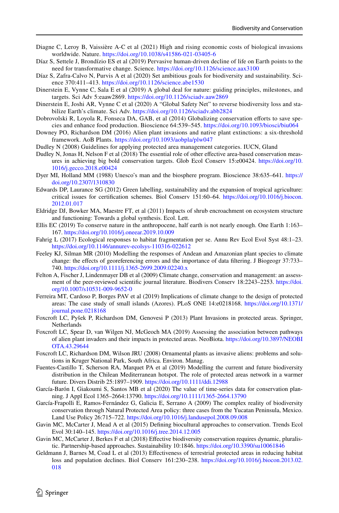- <span id="page-21-10"></span>Diagne C, Leroy B, Vaissière A-C et al (2021) High and rising economic costs of biological invasions worldwide. Nature. <https://doi.org/10.1038/s41586-021-03405-6>
- <span id="page-21-3"></span>Díaz S, Settele J, Brondízio ES et al (2019) Pervasive human-driven decline of life on Earth points to the need for transformative change. Science. <https://doi.org/10.1126/science.aax3100>
- <span id="page-21-25"></span>Díaz S, Zafra-Calvo N, Purvis A et al (2020) Set ambitious goals for biodiversity and sustainability. Science 370:411–413.<https://doi.org/10.1126/science.abe1530>
- <span id="page-21-24"></span>Dinerstein E, Vynne C, Sala E et al (2019) A global deal for nature: guiding principles, milestones, and targets. Sci Adv 5:eaaw2869. <https://doi.org/10.1126/sciadv.aaw2869>
- <span id="page-21-4"></span>Dinerstein E, Joshi AR, Vynne C et al (2020) A "Global Safety Net" to reverse biodiversity loss and stabilize Earth's climate. Sci Adv.<https://doi.org/10.1126/sciadv.abb2824>
- <span id="page-21-20"></span>Dobrovolski R, Loyola R, Fonseca DA, GAB, et al (2014) Globalizing conservation eforts to save species and enhance food production. Bioscience 64:539–545.<https://doi.org/10.1093/biosci/biu064>
- <span id="page-21-8"></span>Downey PO, Richardson DM (2016) Alien plant invasions and native plant extinctions: a six-threshold framework. AoB Plants. <https://doi.org/10.1093/aobpla/plw047>
- <span id="page-21-0"></span>Dudley N (2008) Guidelines for applying protected area management categories. IUCN, Gland
- <span id="page-21-1"></span>Dudley N, Jonas H, Nelson F et al (2018) The essential role of other effective area-based conservation measures in achieving big bold conservation targets. Glob Ecol Conserv 15:e00424. [https://doi.org/10.](https://doi.org/10.1016/j.gecco.2018.e00424) [1016/j.gecco.2018.e00424](https://doi.org/10.1016/j.gecco.2018.e00424)
- <span id="page-21-23"></span>Dyer MI, Holland MM (1988) Unesco's man and the biosphere program. Bioscience 38:635–641. [https://](https://doi.org/10.2307/1310830) [doi.org/10.2307/1310830](https://doi.org/10.2307/1310830)
- <span id="page-21-17"></span>Edwards DP, Laurance SG (2012) Green labelling, sustainability and the expansion of tropical agriculture: critical issues for certifcation schemes. Biol Conserv 151:60–64. [https://doi.org/10.1016/j.biocon.](https://doi.org/10.1016/j.biocon.2012.01.017) [2012.01.017](https://doi.org/10.1016/j.biocon.2012.01.017)
- <span id="page-21-9"></span>Eldridge DJ, Bowker MA, Maestre FT, et al (2011) Impacts of shrub encroachment on ecosystem structure and functioning: Towards a global synthesis. Ecol. Lett.
- <span id="page-21-22"></span>Ellis EC (2019) To conserve nature in the anthropocene, half earth is not nearly enough. One Earth 1:163– 167.<https://doi.org/10.1016/j.oneear.2019.10.009>
- <span id="page-21-5"></span>Fahrig L (2017) Ecological responses to habitat fragmentation per se. Annu Rev Ecol Evol Syst 48:1–23. <https://doi.org/10.1146/annurev-ecolsys-110316-022612>
- <span id="page-21-19"></span>Feeley KJ, Silman MR (2010) Modelling the responses of Andean and Amazonian plant species to climate change: the efects of georeferencing errors and the importance of data fltering. J Biogeogr 37:733– 740.<https://doi.org/10.1111/j.1365-2699.2009.02240.x>
- <span id="page-21-14"></span>Felton A, Fischer J, Lindenmayer DB et al (2009) Climate change, conservation and management: an assessment of the peer-reviewed scientifc journal literature. Biodivers Conserv 18:2243–2253. [https://doi.](https://doi.org/10.1007/s10531-009-9652-0) [org/10.1007/s10531-009-9652-0](https://doi.org/10.1007/s10531-009-9652-0)
- <span id="page-21-21"></span>Ferreira MT, Cardoso P, Borges PAV et al (2019) Implications of climate change to the design of protected areas: The case study of small islands (Azores). PLoS ONE 14:e0218168. [https://doi.org/10.1371/](https://doi.org/10.1371/journal.pone.0218168) [journal.pone.0218168](https://doi.org/10.1371/journal.pone.0218168)
- <span id="page-21-7"></span>Foxcroft LC, Pyšek P, Richardson DM, Genovesi P (2013) Plant Invasions in protected areas. Springer, Netherlands
- <span id="page-21-16"></span>Foxcroft LC, Spear D, van Wilgen NJ, McGeoch MA (2019) Assessing the association between pathways of alien plant invaders and their impacts in protected areas. NeoBiota. [https://doi.org/10.3897/NEOBI](https://doi.org/10.3897/NEOBIOTA.43.29644) [OTA.43.29644](https://doi.org/10.3897/NEOBIOTA.43.29644)
- <span id="page-21-15"></span>Foxcroft LC, Richardson DM, Wilson JRU (2008) Ornamental plants as invasive aliens: problems and solutions in Kruger National Park, South Africa. Environ. Manag.
- <span id="page-21-6"></span>Fuentes-Castillo T, Scherson RA, Marquet PA et al (2019) Modelling the current and future biodiversity distribution in the Chilean Mediterranean hotspot. The role of protected areas network in a warmer future. Divers Distrib 25:1897–1909.<https://doi.org/10.1111/ddi.12988>
- <span id="page-21-18"></span>García-Barón I, Giakoumi S, Santos MB et al (2020) The value of time-series data for conservation planning. J Appl Ecol 1365–2664:13790.<https://doi.org/10.1111/1365-2664.13790>
- <span id="page-21-11"></span>García-Frapolli E, Ramos-Fernández G, Galicia E, Serrano A (2009) The complex reality of biodiversity conservation through Natural Protected Area policy: three cases from the Yucatan Peninsula, Mexico. Land Use Policy 26:715–722. <https://doi.org/10.1016/j.landusepol.2008.09.008>
- <span id="page-21-13"></span>Gavin MC, McCarter J, Mead A et al (2015) Defning biocultural approaches to conservation. Trends Ecol Evol 30:140–145.<https://doi.org/10.1016/j.tree.2014.12.005>
- <span id="page-21-12"></span>Gavin MC, McCarter J, Berkes F et al (2018) Efective biodiversity conservation requires dynamic, pluralistic. Partnership-based approaches. Sustainability 10:1846. <https://doi.org/10.3390/su10061846>
- <span id="page-21-2"></span>Geldmann J, Barnes M, Coad L et al (2013) Efectiveness of terrestrial protected areas in reducing habitat loss and population declines. Biol Conserv 161:230–238. [https://doi.org/10.1016/j.biocon.2013.02.](https://doi.org/10.1016/j.biocon.2013.02.018) [018](https://doi.org/10.1016/j.biocon.2013.02.018)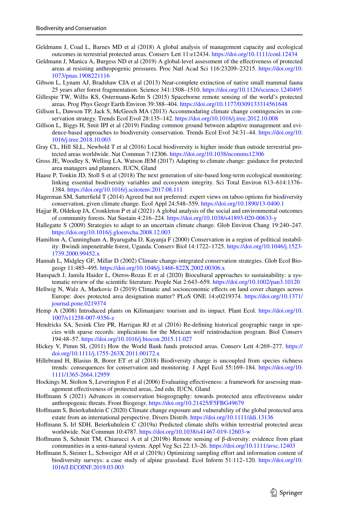- <span id="page-22-3"></span>Geldmann J, Coad L, Barnes MD et al (2018) A global analysis of management capacity and ecological outcomes in terrestrial protected areas. Conserv Lett 11:e12434. <https://doi.org/10.1111/conl.12434>
- <span id="page-22-0"></span>Geldmann J, Manica A, Burgess ND et al (2019) A global-level assessment of the efectiveness of protected areas at resisting anthropogenic pressures. Proc Natl Acad Sci 116:23209–23215. [https://doi.org/10.](https://doi.org/10.1073/pnas.1908221116) [1073/pnas.1908221116](https://doi.org/10.1073/pnas.1908221116)
- <span id="page-22-4"></span>Gibson L, Lynam AJ, Bradshaw CJA et al (2013) Near-complete extinction of native small mammal fauna 25 years after forest fragmentation. Science 341:1508–1510. <https://doi.org/10.1126/science.1240495>
- <span id="page-22-18"></span>Gillespie TW, Willis KS, Ostermann-Kelm S (2015) Spaceborne remote sensing of the world's protected areas. Prog Phys Geogr Earth Environ 39:388–404.<https://doi.org/10.1177/0309133314561648>
- <span id="page-22-12"></span>Gillson L, Dawson TP, Jack S, McGeoch MA (2013) Accommodating climate change contingencies in conservation strategy. Trends Ecol Evol 28:135–142.<https://doi.org/10.1016/j.tree.2012.10.008>
- <span id="page-22-24"></span>Gillson L, Biggs H, Smit IPJ et al (2019) Finding common ground between adaptive management and evidence-based approaches to biodiversity conservation. Trends Ecol Evol 34:31–44. [https://doi.org/10.](https://doi.org/10.1016/j.tree.2018.10.003) [1016/j.tree.2018.10.003](https://doi.org/10.1016/j.tree.2018.10.003)
- <span id="page-22-2"></span>Gray CL, Hill SLL, Newbold T et al (2016) Local biodiversity is higher inside than outside terrestrial protected areas worldwide. Nat Commun 7:12306.<https://doi.org/10.1038/ncomms12306>
- <span id="page-22-5"></span>Gross JE, Woodley S, Welling LA, Watson JEM (2017) Adapting to climate change: guidance for protected area managers and planners. IUCN, Gland
- <span id="page-22-16"></span>Haase P, Tonkin JD, Stoll S et al (2018) The next generation of site-based long-term ecological monitoring: linking essential biodiversity variables and ecosystem integrity. Sci Total Environ 613–614:1376– 1384.<https://doi.org/10.1016/j.scitotenv.2017.08.111>
- <span id="page-22-25"></span>Hagerman SM, Satterfeld T (2014) Agreed but not preferred: expert views on taboo options for biodiversity conservation, given climate change. Ecol Appl 24:548–559. <https://doi.org/10.1890/13-0400.1>
- <span id="page-22-10"></span>Hajjar R, Oldekop JA, Cronkleton P et al (2021) A global analysis of the social and environmental outcomes of community forests. Nat Sustain 4:216–224. <https://doi.org/10.1038/s41893-020-00633-y>
- <span id="page-22-13"></span>Hallegatte S (2009) Strategies to adapt to an uncertain climate change. Glob Environ Chang 19:240–247. <https://doi.org/10.1016/j.gloenvcha.2008.12.003>
- <span id="page-22-8"></span>Hamilton A, Cunningham A, Byarugaba D, Kayanja F (2000) Conservation in a region of political instability: Bwindi impenetrable forest, Uganda. Conserv Biol 14:1722–1725. [https://doi.org/10.1046/j.1523-](https://doi.org/10.1046/j.1523-1739.2000.99452.x) [1739.2000.99452.x](https://doi.org/10.1046/j.1523-1739.2000.99452.x)
- <span id="page-22-23"></span>Hannah L, Midgley GF, Millar D (2002) Climate change-integrated conservation strategies. Glob Ecol Biogeogr 11:485–495. <https://doi.org/10.1046/j.1466-822X.2002.00306.x>
- <span id="page-22-11"></span>Hanspach J, Jamila Haider L, Oteros-Rozas E et al (2020) Biocultural approaches to sustainability: a systematic review of the scientifc literature. People Nat 2:643–659. <https://doi.org/10.1002/pan3.10120>
- <span id="page-22-19"></span>Hellwig N, Walz A, Markovic D (2019) Climatic and socioeconomic efects on land cover changes across Europe: does protected area designation matter? PLoS ONE 14:e0219374. [https://doi.org/10.1371/](https://doi.org/10.1371/journal.pone.0219374) [journal.pone.0219374](https://doi.org/10.1371/journal.pone.0219374)
- <span id="page-22-15"></span>Hemp A (2008) Introduced plants on Kilimanjaro: tourism and its impact. Plant Ecol. [https://doi.org/10.](https://doi.org/10.1007/s11258-007-9356-z) [1007/s11258-007-9356-z](https://doi.org/10.1007/s11258-007-9356-z)
- <span id="page-22-14"></span>Hendricks SA, Sesink Clee PR, Harrigan RJ et al (2016) Re-defning historical geographic range in species with sparse records: implications for the Mexican wolf reintroduction program. Biol Conserv 194:48–57.<https://doi.org/10.1016/j.biocon.2015.11.027>
- <span id="page-22-9"></span>Hickey V, Pimm SL (2011) How the World Bank funds protected areas. Conserv Lett 4:269–277. [https://](https://doi.org/10.1111/j.1755-263X.2011.00172.x) [doi.org/10.1111/j.1755-263X.2011.00172.x](https://doi.org/10.1111/j.1755-263X.2011.00172.x)
- <span id="page-22-20"></span>Hillebrand H, Blasius B, Borer ET et al (2018) Biodiversity change is uncoupled from species richness trends: consequences for conservation and monitoring. J Appl Ecol 55:169–184. [https://doi.org/10.](https://doi.org/10.1111/1365-2664.12959) [1111/1365-2664.12959](https://doi.org/10.1111/1365-2664.12959)
- <span id="page-22-1"></span>Hockings M, Stolton S, Leverington F et al (2006) Evaluating efectiveness: a framework for assessing management efectiveness of protected areas, 2nd edn. IUCN, Gland
- <span id="page-22-22"></span>Hofmann S (2021) Advances in conservation biogeography: towards protected area efectiveness under anthropogenic threats. Front Biogeogr. <https://doi.org/10.21425/F5FBG49679>
- <span id="page-22-7"></span>Hofmann S, Beierkuhnlein C (2020) Climate change exposure and vulnerability of the global protected area estate from an international perspective. Divers Distrib. <https://doi.org/10.1111/ddi.13136>
- <span id="page-22-6"></span>Hofmann S, Irl SDH, Beierkuhnlein C (2019a) Predicted climate shifts within terrestrial protected areas worldwide. Nat Commun 10:4787. <https://doi.org/10.1038/s41467-019-12603-w>
- <span id="page-22-17"></span>Hofmann S, Schmitt TM, Chiarucci A et al (2019b) Remote sensing of β-diversity: evidence from plant communities in a semi-natural system. Appl Veg Sci 22:13–26. <https://doi.org/10.1111/avsc.12403>
- <span id="page-22-21"></span>Hoffmann S, Steiner L, Schweiger AH et al (2019c) Optimizing sampling effort and information content of biodiversity surveys: a case study of alpine grassland. Ecol Inform 51:112–120. [https://doi.org/10.](https://doi.org/10.1016/J.ECOINF.2019.03.003) [1016/J.ECOINF.2019.03.003](https://doi.org/10.1016/J.ECOINF.2019.03.003)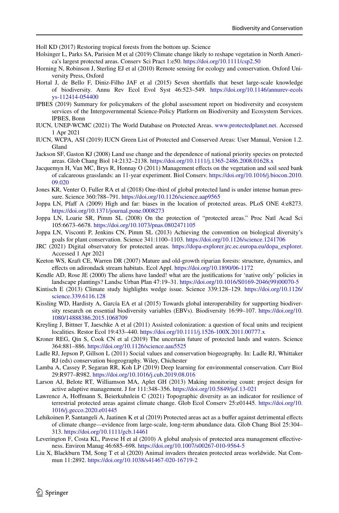<span id="page-23-22"></span>Holl KD (2017) Restoring tropical forests from the bottom up. Science

- <span id="page-23-13"></span>Holsinger L, Parks SA, Parisien M et al (2019) Climate change likely to reshape vegetation in North America's largest protected areas. Conserv Sci Pract 1:e50. <https://doi.org/10.1111/csp2.50>
- <span id="page-23-23"></span>Horning N, Robinson J, Sterling EJ et al (2010) Remote sensing for ecology and conservation. Oxford University Press, Oxford
- <span id="page-23-16"></span>Hortal J, de Bello F, Diniz-Filho JAF et al (2015) Seven shortfalls that beset large-scale knowledge of biodiversity. Annu Rev Ecol Evol Syst 46:523–549. [https://doi.org/10.1146/annurev-ecols](https://doi.org/10.1146/annurev-ecolsys-112414-054400) [ys-112414-054400](https://doi.org/10.1146/annurev-ecolsys-112414-054400)
- <span id="page-23-10"></span>IPBES (2019) Summary for policymakers of the global assessment report on biodiversity and ecosystem services of the Intergovernmental Science-Policy Platform on Biodiversity and Ecosystem Services. IPBES, Bonn
- <span id="page-23-2"></span>IUCN, UNEP-WCMC (2021) The World Database on Protected Areas. [www.protectedplanet.net](http://www.protectedplanet.net). Accessed 1 Apr 2021
- <span id="page-23-18"></span>IUCN, WCPA, ASI (2019) IUCN Green List of Protected and Conserved Areas: User Manual, Version 1.2. Gland
- <span id="page-23-8"></span>Jackson SF, Gaston KJ (2008) Land use change and the dependence of national priority species on protected areas. Glob Chang Biol 14:2132–2138. <https://doi.org/10.1111/j.1365-2486.2008.01628.x>
- <span id="page-23-11"></span>Jacquemyn H, Van MC, Brys R, Honnay O (2011) Management efects on the vegetation and soil seed bank of calcareous grasslands: an 11-year experiment. Biol Conserv. [https://doi.org/10.1016/j.biocon.2010.](https://doi.org/10.1016/j.biocon.2010.09.020) [09.020](https://doi.org/10.1016/j.biocon.2010.09.020)
- <span id="page-23-9"></span>Jones KR, Venter O, Fuller RA et al (2018) One-third of global protected land is under intense human pressure. Science 360:788–791. <https://doi.org/10.1126/science.aap9565>
- <span id="page-23-0"></span>Joppa LN, Pfaf A (2009) High and far: biases in the location of protected areas. PLoS ONE 4:e8273. <https://doi.org/10.1371/journal.pone.0008273>
- <span id="page-23-7"></span>Joppa LN, Loarie SR, Pimm SL (2008) On the protection of "protected areas." Proc Natl Acad Sci 105:6673–6678.<https://doi.org/10.1073/pnas.0802471105>
- <span id="page-23-5"></span>Joppa LN, Visconti P, Jenkins CN, Pimm SL (2013) Achieving the convention on biological diversity's goals for plant conservation. Science 341:1100–1103.<https://doi.org/10.1126/science.1241706>
- <span id="page-23-3"></span>JRC (2021) Digital observatory for protected areas. [https://dopa-explorer.jrc.ec.europa.eu/dopa\\_explorer.](https://dopa-explorer.jrc.ec.europa.eu/dopa_explorer) Accessed 1 Apr 2021
- <span id="page-23-12"></span>Keeton WS, Kraft CE, Warren DR (2007) Mature and old-growth riparian forests: structure, dynamics, and efects on adirondack stream habitats. Ecol Appl.<https://doi.org/10.1890/06-1172>
- <span id="page-23-14"></span>Kendle AD, Rose JE (2000) The aliens have landed! what are the justifcations for 'native only' policies in landscape plantings? Landsc Urban Plan 47:19–31. [https://doi.org/10.1016/S0169-2046\(99\)00070-5](https://doi.org/10.1016/S0169-2046(99)00070-5)
- <span id="page-23-20"></span>Kintisch E (2013) Climate study highlights wedge issue. Science 339:128–129. [https://doi.org/10.1126/](https://doi.org/10.1126/science.339.6116.128) [science.339.6116.128](https://doi.org/10.1126/science.339.6116.128)
- <span id="page-23-26"></span>Kissling WD, Hardisty A, García EA et al (2015) Towards global interoperability for supporting biodiversity research on essential biodiversity variables (EBVs). Biodiversity 16:99–107. [https://doi.org/10.](https://doi.org/10.1080/14888386.2015.1068709) [1080/14888386.2015.1068709](https://doi.org/10.1080/14888386.2015.1068709)
- <span id="page-23-21"></span>Kreyling J, Bittner T, Jaeschke A et al (2011) Assisted colonization: a question of focal units and recipient localities. Restor Ecol 19:433–440. <https://doi.org/10.1111/j.1526-100X.2011.00777.x>
- <span id="page-23-4"></span>Kroner REG, Qin S, Cook CN et al (2019) The uncertain future of protected lands and waters. Science 364:881–886.<https://doi.org/10.1126/science.aau5525>
- <span id="page-23-24"></span>Ladle RJ, Jepson P, Gillson L (2011) Social values and conservation biogeography. In: Ladle RJ, Whittaker RJ (eds) conservation biogeography. Wiley, Chichester
- <span id="page-23-25"></span>Lamba A, Cassey P, Segaran RR, Koh LP (2019) Deep learning for environmental conservation. Curr Biol 29:R977–R982.<https://doi.org/10.1016/j.cub.2019.08.016>
- <span id="page-23-17"></span>Larson AJ, Belote RT, Williamson MA, Aplet GH (2013) Making monitoring count: project design for active adaptive management. J for 111:348–356.<https://doi.org/10.5849/jof.13-021>
- <span id="page-23-19"></span>Lawrence A, Hofmann S, Beierkuhnlein C (2021) Topographic diversity as an indicator for resilience of terrestrial protected areas against climate change. Glob Ecol Conserv 25:e01445. [https://doi.org/10.](https://doi.org/10.1016/j.gecco.2020.e01445) [1016/j.gecco.2020.e01445](https://doi.org/10.1016/j.gecco.2020.e01445)
- <span id="page-23-6"></span>Lehikoinen P, Santangeli A, Jaatinen K et al (2019) Protected areas act as a bufer against detrimental efects of climate change—evidence from large-scale, long-term abundance data. Glob Chang Biol 25:304– 313.<https://doi.org/10.1111/gcb.14461>
- <span id="page-23-1"></span>Leverington F, Costa KL, Pavese H et al (2010) A global analysis of protected area management efectiveness. Environ Manag 46:685–698. <https://doi.org/10.1007/s00267-010-9564-5>
- <span id="page-23-15"></span>Liu X, Blackburn TM, Song T et al (2020) Animal invaders threaten protected areas worldwide. Nat Commun 11:2892. <https://doi.org/10.1038/s41467-020-16719-2>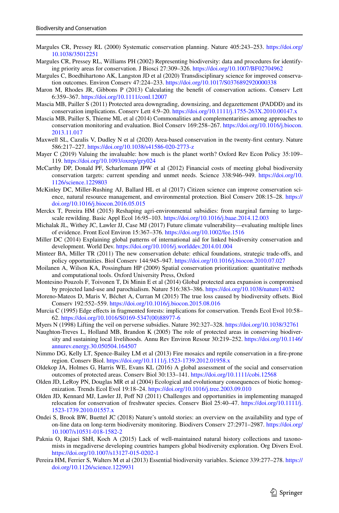- <span id="page-24-24"></span>Margules CR, Pressey RL (2000) Systematic conservation planning. Nature 405:243–253. [https://doi.org/](https://doi.org/10.1038/35012251) [10.1038/35012251](https://doi.org/10.1038/35012251)
- <span id="page-24-21"></span>Margules CR, Pressey RL, Williams PH (2002) Representing biodiversity: data and procedures for identifying priority areas for conservation. J Biosci 27:309–326. <https://doi.org/10.1007/BF02704962>
- <span id="page-24-9"></span>Margules C, Boedhihartono AK, Langston JD et al (2020) Transdisciplinary science for improved conservation outcomes. Environ Conserv 47:224–233. <https://doi.org/10.1017/S0376892920000338>
- <span id="page-24-18"></span>Maron M, Rhodes JR, Gibbons P (2013) Calculating the beneft of conservation actions. Conserv Lett 6:359–367.<https://doi.org/10.1111/conl.12007>
- <span id="page-24-23"></span>Mascia MB, Pailler S (2011) Protected area downgrading, downsizing, and degazettement (PADDD) and its conservation implications. Conserv Lett 4:9–20. <https://doi.org/10.1111/j.1755-263X.2010.00147.x>
- <span id="page-24-1"></span>Mascia MB, Pailler S, Thieme ML et al (2014) Commonalities and complementarities among approaches to conservation monitoring and evaluation. Biol Conserv 169:258–267. [https://doi.org/10.1016/j.biocon.](https://doi.org/10.1016/j.biocon.2013.11.017) [2013.11.017](https://doi.org/10.1016/j.biocon.2013.11.017)
- <span id="page-24-0"></span>Maxwell SL, Cazalis V, Dudley N et al (2020) Area-based conservation in the twenty-frst century. Nature 586:217–227.<https://doi.org/10.1038/s41586-020-2773-z>
- <span id="page-24-19"></span>Mayer C (2019) Valuing the invaluable: how much is the planet worth? Oxford Rev Econ Policy 35:109– 119.<https://doi.org/10.1093/oxrep/gry024>
- <span id="page-24-6"></span>McCarthy DP, Donald PF, Scharlemann JPW et al (2012) Financial costs of meeting global biodiversity conservation targets: current spending and unmet needs. Science 338:946–949. [https://doi.org/10.](https://doi.org/10.1126/science.1229803) [1126/science.1229803](https://doi.org/10.1126/science.1229803)
- <span id="page-24-20"></span>McKinley DC, Miller-Rushing AJ, Ballard HL et al (2017) Citizen science can improve conservation science, natural resource management, and environmental protection. Biol Conserv 208:15–28. [https://](https://doi.org/10.1016/j.biocon.2016.05.015) [doi.org/10.1016/j.biocon.2016.05.015](https://doi.org/10.1016/j.biocon.2016.05.015)
- <span id="page-24-17"></span>Merckx T, Pereira HM (2015) Reshaping agri-environmental subsidies: from marginal farming to largescale rewilding. Basic Appl Ecol 16:95–103.<https://doi.org/10.1016/j.baae.2014.12.003>
- <span id="page-24-12"></span>Michalak JL, Withey JC, Lawler JJ, Case MJ (2017) Future climate vulnerability—evaluating multiple lines of evidence. Front Ecol Environ 15:367–376. <https://doi.org/10.1002/fee.1516>
- <span id="page-24-7"></span>Miller DC (2014) Explaining global patterns of international aid for linked biodiversity conservation and development. World Dev. <https://doi.org/10.1016/j.worlddev.2014.01.004>
- <span id="page-24-10"></span>Minteer BA, Miller TR (2011) The new conservation debate: ethical foundations, strategic trade-ofs, and policy opportunities. Biol Conserv 144:945–947. <https://doi.org/10.1016/j.biocon.2010.07.027>
- <span id="page-24-25"></span>Moilanen A, Wilson KA, Possingham HP (2009) Spatial conservation prioritization: quantitative methods and computational tools. Oxford University Press, Oxford

<span id="page-24-2"></span>Montesino Pouzols F, Toivonen T, Di Minin E et al (2014) Global protected area expansion is compromised by projected land-use and parochialism. Nature 516:383–386.<https://doi.org/10.1038/nature14032>

- <span id="page-24-13"></span>Moreno-Mateos D, Maris V, Béchet A, Curran M (2015) The true loss caused by biodiversity ofsets. Biol Conserv 192:552–559.<https://doi.org/10.1016/j.biocon.2015.08.016>
- <span id="page-24-3"></span>Murcia C (1995) Edge effects in fragmented forests: implications for conservation. Trends Ecol Evol 10:58– 62. [https://doi.org/10.1016/S0169-5347\(00\)88977-6](https://doi.org/10.1016/S0169-5347(00)88977-6)
- <span id="page-24-16"></span>Myers N (1998) Lifting the veil on perverse subsidies. Nature 392:327–328.<https://doi.org/10.1038/32761>
- <span id="page-24-22"></span>Naughton-Treves L, Holland MB, Brandon K (2005) The role of protected areas in conserving biodiversity and sustaining local livelihoods. Annu Rev Environ Resour 30:219–252. [https://doi.org/10.1146/](https://doi.org/10.1146/annurev.energy.30.050504.164507) [annurev.energy.30.050504.164507](https://doi.org/10.1146/annurev.energy.30.050504.164507)
- <span id="page-24-4"></span>Nimmo DG, Kelly LT, Spence-Bailey LM et al (2013) Fire mosaics and reptile conservation in a fre-prone region. Conserv Biol.<https://doi.org/10.1111/j.1523-1739.2012.01958.x>
- <span id="page-24-11"></span>Oldekop JA, Holmes G, Harris WE, Evans KL (2016) A global assessment of the social and conservation outcomes of protected areas. Conserv Biol 30:133–141. <https://doi.org/10.1111/cobi.12568>
- <span id="page-24-5"></span>Olden JD, LeRoy PN, Douglas MR et al (2004) Ecological and evolutionary consequences of biotic homogenization. Trends Ecol Evol 19:18–24.<https://doi.org/10.1016/j.tree.2003.09.010>
- <span id="page-24-14"></span>Olden JD, Kennard MJ, Lawler JJ, Pof NJ (2011) Challenges and opportunities in implementing managed relocation for conservation of freshwater species. Conserv Biol 25:40–47. [https://doi.org/10.1111/j.](https://doi.org/10.1111/j.1523-1739.2010.01557.x) [1523-1739.2010.01557.x](https://doi.org/10.1111/j.1523-1739.2010.01557.x)
- <span id="page-24-8"></span>Ondei S, Brook BW, Buettel JC (2018) Nature's untold stories: an overview on the availability and type of on-line data on long-term biodiversity monitoring. Biodivers Conserv 27:2971–2987. [https://doi.org/](https://doi.org/10.1007/s10531-018-1582-2) [10.1007/s10531-018-1582-2](https://doi.org/10.1007/s10531-018-1582-2)
- <span id="page-24-15"></span>Paknia O, Rajaei ShH, Koch A (2015) Lack of well-maintained natural history collections and taxonomists in megadiverse developing countries hampers global biodiversity exploration. Org Divers Evol. <https://doi.org/10.1007/s13127-015-0202-1>
- <span id="page-24-26"></span>Pereira HM, Ferrier S, Walters M et al (2013) Essential biodiversity variables. Science 339:277–278. [https://](https://doi.org/10.1126/science.1229931) [doi.org/10.1126/science.1229931](https://doi.org/10.1126/science.1229931)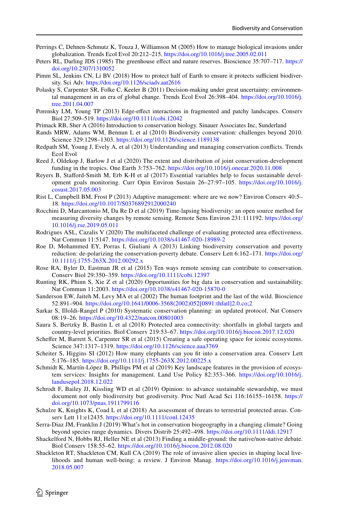- <span id="page-25-12"></span>Perrings C, Dehnen-Schmutz K, Touza J, Williamson M (2005) How to manage biological invasions under globalization. Trends Ecol Evol 20:212–215. <https://doi.org/10.1016/j.tree.2005.02.011>
- <span id="page-25-8"></span>Peters RL, Darling JDS (1985) The greenhouse effect and nature reserves. Bioscience 35:707–717. [https://](https://doi.org/10.2307/1310052) [doi.org/10.2307/1310052](https://doi.org/10.2307/1310052)
- <span id="page-25-3"></span>Pimm SL, Jenkins CN, Li BV (2018) How to protect half of Earth to ensure it protects sufficient biodiversity. Sci Adv. <https://doi.org/10.1126/sciadv.aat2616>
- <span id="page-25-21"></span>Polasky S, Carpenter SR, Folke C, Keeler B (2011) Decision-making under great uncertainty: environmental management in an era of global change. Trends Ecol Evol 26:398–404. [https://doi.org/10.1016/j.](https://doi.org/10.1016/j.tree.2011.04.007) [tree.2011.04.007](https://doi.org/10.1016/j.tree.2011.04.007)
- <span id="page-25-4"></span>Porensky LM, Young TP (2013) Edge-efect interactions in fragmented and patchy landscapes. Conserv Biol 27:509–519.<https://doi.org/10.1111/cobi.12042>
- <span id="page-25-6"></span>Primack RB, Sher A (2016) Introduction to conservation biology. Sinauer Associates Inc, Sunderland
- <span id="page-25-17"></span>Rands MRW, Adams WM, Bennun L et al (2010) Biodiversity conservation: challenges beyond 2010. Science 329:1298–1303. <https://doi.org/10.1126/science.1189138>
- <span id="page-25-13"></span>Redpath SM, Young J, Evely A, et al (2013) Understanding and managing conservation conficts. Trends Ecol Evol
- <span id="page-25-15"></span>Reed J, Oldekop J, Barlow J et al (2020) The extent and distribution of joint conservation-development funding in the tropics. One Earth 3:753–762.<https://doi.org/10.1016/j.oneear.2020.11.008>
- <span id="page-25-24"></span>Reyers B, Staford-Smith M, Erb K-H et al (2017) Essential variables help to focus sustainable development goals monitoring. Curr Opin Environ Sustain 26–27:97–105. [https://doi.org/10.1016/j.](https://doi.org/10.1016/j.cosust.2017.05.003) [cosust.2017.05.003](https://doi.org/10.1016/j.cosust.2017.05.003)
- <span id="page-25-26"></span>Rist L, Campbell BM, Frost P (2013) Adaptive management: where are we now? Environ Conserv 40:5– 18. <https://doi.org/10.1017/S0376892912000240>
- <span id="page-25-18"></span>Rocchini D, Marcantonio M, Da Re D et al (2019) Time-lapsing biodiversity: an open source method for measuring diversity changes by remote sensing. Remote Sens Environ 231:111192. [https://doi.org/](https://doi.org/10.1016/j.rse.2019.05.011) [10.1016/j.rse.2019.05.011](https://doi.org/10.1016/j.rse.2019.05.011)
- <span id="page-25-1"></span>Rodrigues ASL, Cazalis V (2020) The multifaceted challenge of evaluating protected area efectiveness. Nat Commun 11:5147. <https://doi.org/10.1038/s41467-020-18989-2>
- <span id="page-25-16"></span>Roe D, Mohammed EY, Porras I, Giuliani A (2013) Linking biodiversity conservation and poverty reduction: de-polarizing the conservation-poverty debate. Conserv Lett 6:162–171. [https://doi.org/](https://doi.org/10.1111/j.1755-263X.2012.00292.x) [10.1111/j.1755-263X.2012.00292.x](https://doi.org/10.1111/j.1755-263X.2012.00292.x)
- <span id="page-25-19"></span>Rose RA, Byler D, Eastman JR et al (2015) Ten ways remote sensing can contribute to conservation. Conserv Biol 29:350–359. <https://doi.org/10.1111/cobi.12397>
- <span id="page-25-25"></span>Runting RK, Phinn S, Xie Z et al (2020) Opportunities for big data in conservation and sustainability. Nat Commun 11:2003. <https://doi.org/10.1038/s41467-020-15870-0>
- <span id="page-25-2"></span>Sanderson EW, Jaiteh M, Levy MA et al (2002) The human footprint and the last of the wild. Bioscience 52:891–904. [https://doi.org/10.1641/0006-3568\(2002\)052\[0891:thfatl\]2.0.co;2](https://doi.org/10.1641/0006-3568(2002)052[0891:thfatl]2.0.co;2)
- <span id="page-25-0"></span>Sarkar S, Illoldi-Rangel P (2010) Systematic conservation planning: an updated protocol. Nat Conserv 08:19–26. <https://doi.org/10.4322/natcon.00801003>
- <span id="page-25-22"></span>Saura S, Bertzky B, Bastin L et al (2018) Protected area connectivity: shortfalls in global targets and country-level priorities. Biol Conserv 219:53–67.<https://doi.org/10.1016/j.biocon.2017.12.020>
- <span id="page-25-7"></span>Scheffer M, Barrett S, Carpenter SR et al (2015) Creating a safe operating space for iconic ecosystems. Science 347:1317–1319. <https://doi.org/10.1126/science.aaa3769>
- <span id="page-25-9"></span>Scheiter S, Higgins SI (2012) How many elephants can you ft into a conservation area. Conserv Lett 5:176–185. <https://doi.org/10.1111/j.1755-263X.2012.00225.x>
- <span id="page-25-14"></span>Schmidt K, Martín-López B, Phillips PM et al (2019) Key landscape features in the provision of ecosystem services: Insights for management. Land Use Policy 82:353–366. [https://doi.org/10.1016/j.](https://doi.org/10.1016/j.landusepol.2018.12.022) [landusepol.2018.12.022](https://doi.org/10.1016/j.landusepol.2018.12.022)
- <span id="page-25-23"></span>Schrodt F, Bailey JJ, Kissling WD et al (2019) Opinion: to advance sustainable stewardship, we must document not only biodiversity but geodiversity. Proc Natl Acad Sci 116:16155–16158. [https://](https://doi.org/10.1073/pnas.1911799116) [doi.org/10.1073/pnas.1911799116](https://doi.org/10.1073/pnas.1911799116)
- <span id="page-25-5"></span>Schulze K, Knights K, Coad L et al (2018) An assessment of threats to terrestrial protected areas. Conserv Lett 11:e12435. <https://doi.org/10.1111/conl.12435>
- <span id="page-25-20"></span>Serra-Diaz JM, Franklin J (2019) What's hot in conservation biogeography in a changing climate? Going beyond species range dynamics. Divers Distrib 25:492–498. <https://doi.org/10.1111/ddi.12917>
- <span id="page-25-11"></span>Shackelford N, Hobbs RJ, Heller NE et al (2013) Finding a middle-ground: the native/non-native debate. Biol Conserv 158:55–62. <https://doi.org/10.1016/j.biocon.2012.08.020>
- <span id="page-25-10"></span>Shackleton RT, Shackleton CM, Kull CA (2019) The role of invasive alien species in shaping local livelihoods and human well-being: a review. J Environ Manag. [https://doi.org/10.1016/j.jenvman.](https://doi.org/10.1016/j.jenvman.2018.05.007) [2018.05.007](https://doi.org/10.1016/j.jenvman.2018.05.007)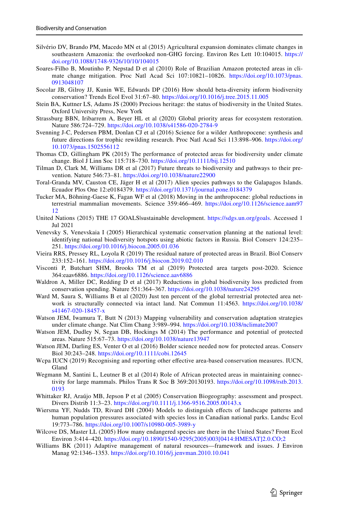- <span id="page-26-12"></span>Silvério DV, Brando PM, Macedo MN et al (2015) Agricultural expansion dominates climate changes in southeastern Amazonia: the overlooked non-GHG forcing. Environ Res Lett 10:104015. [https://](https://doi.org/10.1088/1748-9326/10/10/104015) [doi.org/10.1088/1748-9326/10/10/104015](https://doi.org/10.1088/1748-9326/10/10/104015)
- <span id="page-26-5"></span>Soares-Filho B, Moutinho P, Nepstad D et al (2010) Role of Brazilian Amazon protected areas in climate change mitigation. Proc Natl Acad Sci 107:10821–10826. [https://doi.org/10.1073/pnas.](https://doi.org/10.1073/pnas.0913048107) [0913048107](https://doi.org/10.1073/pnas.0913048107)
- <span id="page-26-21"></span>Socolar JB, Gilroy JJ, Kunin WE, Edwards DP (2016) How should beta-diversity inform biodiversity conservation? Trends Ecol Evol 31:67–80. <https://doi.org/10.1016/j.tree.2015.11.005>
- <span id="page-26-7"></span>Stein BA, Kuttner LS, Adams JS (2000) Precious heritage: the status of biodiversity in the United States. Oxford University Press, New York
- <span id="page-26-23"></span>Strassburg BBN, Iribarrem A, Beyer HL et al (2020) Global priority areas for ecosystem restoration. Nature 586:724–729.<https://doi.org/10.1038/s41586-020-2784-9>
- <span id="page-26-18"></span>Svenning J-C, Pedersen PBM, Donlan CJ et al (2016) Science for a wilder Anthropocene: synthesis and future directions for trophic rewilding research. Proc Natl Acad Sci 113:898–906. [https://doi.org/](https://doi.org/10.1073/pnas.1502556112) [10.1073/pnas.1502556112](https://doi.org/10.1073/pnas.1502556112)
- <span id="page-26-13"></span>Thomas CD, Gillingham PK (2015) The performance of protected areas for biodiversity under climate change. Biol J Linn Soc 115:718–730. <https://doi.org/10.1111/bij.12510>
- <span id="page-26-6"></span>Tilman D, Clark M, Williams DR et al (2017) Future threats to biodiversity and pathways to their prevention. Nature 546:73–81. <https://doi.org/10.1038/nature22900>
- <span id="page-26-19"></span>Toral-Granda MV, Causton CE, Jäger H et al (2017) Alien species pathways to the Galapagos Islands. Ecuador Plos One 12:e0184379.<https://doi.org/10.1371/journal.pone.0184379>
- <span id="page-26-10"></span>Tucker MA, Böhning-Gaese K, Fagan WF et al (2018) Moving in the anthropocene: global reductions in terrestrial mammalian movements. Science 359:466–469. [https://doi.org/10.1126/science.aam97](https://doi.org/10.1126/science.aam9712) [12](https://doi.org/10.1126/science.aam9712)
- <span id="page-26-2"></span>United Nations (2015) THE 17 GOALS|sustainable development. <https://sdgs.un.org/goals>. Accessed 1 Jul 2021
- <span id="page-26-17"></span>Venevsky S, Venevskaia I (2005) Hierarchical systematic conservation planning at the national level: identifying national biodiversity hotspots using abiotic factors in Russia. Biol Conserv 124:235– 251. <https://doi.org/10.1016/j.biocon.2005.01.036>
- <span id="page-26-4"></span>Vieira RRS, Pressey RL, Loyola R (2019) The residual nature of protected areas in Brazil. Biol Conserv 233:152–161. <https://doi.org/10.1016/j.biocon.2019.02.010>
- <span id="page-26-3"></span>Visconti P, Butchart SHM, Brooks TM et al (2019) Protected area targets post-2020. Science 364:eaav6886.<https://doi.org/10.1126/science.aav6886>
- <span id="page-26-14"></span>Waldron A, Miller DC, Redding D et al (2017) Reductions in global biodiversity loss predicted from conservation spending. Nature 551:364–367. <https://doi.org/10.1038/nature24295>
- <span id="page-26-9"></span>Ward M, Saura S, Williams B et al (2020) Just ten percent of the global terrestrial protected area network is structurally connected via intact land. Nat Commun 11:4563. [https://doi.org/10.1038/](https://doi.org/10.1038/s41467-020-18457-x) [s41467-020-18457-x](https://doi.org/10.1038/s41467-020-18457-x)
- <span id="page-26-16"></span>Watson JEM, Iwamura T, Butt N (2013) Mapping vulnerability and conservation adaptation strategies under climate change. Nat Clim Chang 3:989–994.<https://doi.org/10.1038/nclimate2007>
- <span id="page-26-1"></span>Watson JEM, Dudley N, Segan DB, Hockings M (2014) The performance and potential of protected areas. Nature 515:67–73.<https://doi.org/10.1038/nature13947>
- <span id="page-26-15"></span>Watson JEM, Darling ES, Venter O et al (2016) Bolder science needed now for protected areas. Conserv Biol 30:243–248.<https://doi.org/10.1111/cobi.12645>
- <span id="page-26-0"></span>Wcpa IUCN (2019) Recognising and reporting other efective area-based conservation measures. IUCN, Gland
- <span id="page-26-20"></span>Wegmann M, Santini L, Leutner B et al (2014) Role of African protected areas in maintaining connectivity for large mammals. Philos Trans R Soc B 369:20130193. [https://doi.org/10.1098/rstb.2013.](https://doi.org/10.1098/rstb.2013.0193) [0193](https://doi.org/10.1098/rstb.2013.0193)
- <span id="page-26-22"></span>Whittaker RJ, Araújo MB, Jepson P et al (2005) Conservation Biogeography: assessment and prospect. Divers Distrib 11:3–23. <https://doi.org/10.1111/j.1366-9516.2005.00143.x>
- <span id="page-26-11"></span>Wiersma YF, Nudds TD, Rivard DH (2004) Models to distinguish efects of landscape patterns and human population pressures associated with species loss in Canadian national parks. Landsc Ecol 19:773–786. <https://doi.org/10.1007/s10980-005-3989-y>
- <span id="page-26-8"></span>Wilcove DS, Master LL (2005) How many endangered species are there in the United States? Front Ecol Environ 3:414–420. [https://doi.org/10.1890/1540-9295\(2005\)003\[0414:HMESAT\]2.0.CO;2](https://doi.org/10.1890/1540-9295(2005)003[0414:HMESAT]2.0.CO;2)
- <span id="page-26-24"></span>Williams BK (2011) Adaptive management of natural resources—framework and issues. J Environ Manag 92:1346–1353. <https://doi.org/10.1016/j.jenvman.2010.10.041>